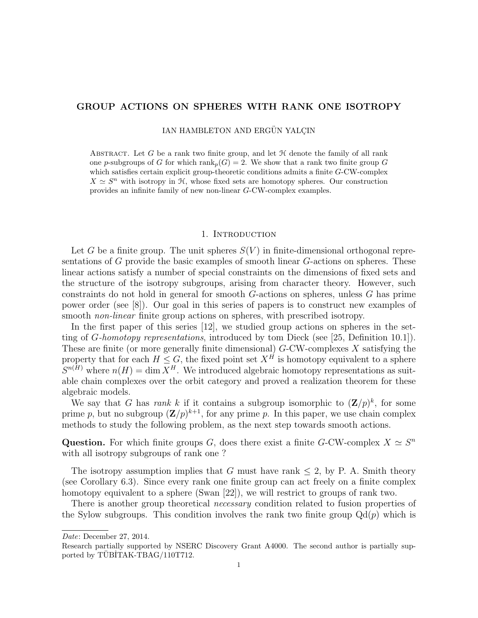# GROUP ACTIONS ON SPHERES WITH RANK ONE ISOTROPY

IAN HAMBLETON AND ERGÜN YALÇIN

ABSTRACT. Let  $G$  be a rank two finite group, and let  $H$  denote the family of all rank one p-subgroups of G for which  $\text{rank}_p(G) = 2$ . We show that a rank two finite group G which satisfies certain explicit group-theoretic conditions admits a finite G-CW-complex  $X \simeq S^n$  with isotropy in H, whose fixed sets are homotopy spheres. Our construction provides an infinite family of new non-linear G-CW-complex examples.

#### 1. INTRODUCTION

Let G be a finite group. The unit spheres  $S(V)$  in finite-dimensional orthogonal representations of G provide the basic examples of smooth linear G-actions on spheres. These linear actions satisfy a number of special constraints on the dimensions of fixed sets and the structure of the isotropy subgroups, arising from character theory. However, such constraints do not hold in general for smooth G-actions on spheres, unless G has prime power order (see [8]). Our goal in this series of papers is to construct new examples of smooth *non-linear* finite group actions on spheres, with prescribed isotropy.

In the first paper of this series [12], we studied group actions on spheres in the setting of G-homotopy representations, introduced by tom Dieck (see [25, Definition 10.1]). These are finite (or more generally finite dimensional)  $G$ -CW-complexes  $X$  satisfying the property that for each  $H \leq G$ , the fixed point set  $X^{\hat{H}}$  is homotopy equivalent to a sphere  $S^{n(H)}$  where  $n(H) = \dim X^H$ . We introduced algebraic homotopy representations as suitable chain complexes over the orbit category and proved a realization theorem for these algebraic models.

We say that G has rank k if it contains a subgroup isomorphic to  $(\mathbf{Z}/p)^k$ , for some prime p, but no subgroup  $(\mathbf{Z}/p)^{k+1}$ , for any prime p. In this paper, we use chain complex methods to study the following problem, as the next step towards smooth actions.

Question. For which finite groups G, does there exist a finite G-CW-complex  $X \simeq S^n$ with all isotropy subgroups of rank one ?

The isotropy assumption implies that G must have rank  $\leq$  2, by P. A. Smith theory (see Corollary 6.3). Since every rank one finite group can act freely on a finite complex homotopy equivalent to a sphere (Swan [22]), we will restrict to groups of rank two.

There is another group theoretical *necessary* condition related to fusion properties of the Sylow subgroups. This condition involves the rank two finite group  $Qd(p)$  which is

Date: December 27, 2014.

Research partially supported by NSERC Discovery Grant A4000. The second author is partially supported by TÜBİTAK-TBAG/110T712.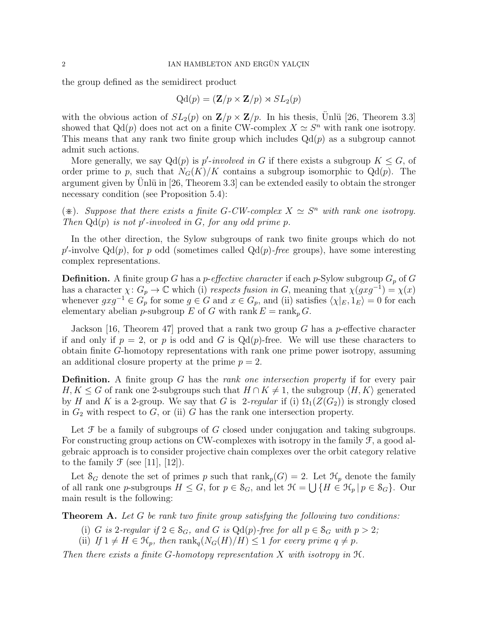the group defined as the semidirect product

$$
Qd(p) = (\mathbf{Z}/p \times \mathbf{Z}/p) \rtimes SL_2(p)
$$

with the obvious action of  $SL_2(p)$  on  $\mathbb{Z}/p \times \mathbb{Z}/p$ . In his thesis, Unlü [26, Theorem 3.3] showed that  $Qd(p)$  does not act on a finite CW-complex  $X \simeq S^n$  with rank one isotropy. This means that any rank two finite group which includes  $Qd(p)$  as a subgroup cannot admit such actions.

More generally, we say  $Qd(p)$  is p'-involved in G if there exists a subgroup  $K \leq G$ , of order prime to p, such that  $N_G(K)/K$  contains a subgroup isomorphic to  $Qd(p)$ . The argument given by Unlü in  $[26,$  Theorem 3.3] can be extended easily to obtain the stronger necessary condition (see Proposition 5.4):

 $(\divideontimes)$ . Suppose that there exists a finite G-CW-complex  $X \simeq S^n$  with rank one isotropy. Then  $Qd(p)$  is not p'-involved in G, for any odd prime p.

In the other direction, the Sylow subgroups of rank two finite groups which do not p'-involve  $Qd(p)$ , for p odd (sometimes called  $Qd(p)$ -free groups), have some interesting complex representations.

**Definition.** A finite group G has a *p*-effective character if each *p*-Sylow subgroup  $G_p$  of G has a character  $\chi: G_p \to \mathbb{C}$  which (i) respects fusion in G, meaning that  $\chi(gxg^{-1}) = \chi(x)$ whenever  $gxg^{-1} \in G_p$  for some  $g \in G$  and  $x \in G_p$ , and (ii) satisfies  $\langle \chi |_{E}, 1_E \rangle = 0$  for each elementary abelian *p*-subgroup E of G with rank  $E = \text{rank}_p G$ .

Jackson [16, Theorem 47] proved that a rank two group G has a p-effective character if and only if  $p = 2$ , or p is odd and G is  $Qd(p)$ -free. We will use these characters to obtain finite G-homotopy representations with rank one prime power isotropy, assuming an additional closure property at the prime  $p = 2$ .

**Definition.** A finite group G has the *rank one intersection property* if for every pair  $H, K \leq G$  of rank one 2-subgroups such that  $H \cap K \neq 1$ , the subgroup  $\langle H, K \rangle$  generated by H and K is a 2-group. We say that G is 2-regular if (i)  $\Omega_1(Z(G_2))$  is strongly closed in  $G_2$  with respect to  $G$ , or (ii) G has the rank one intersection property.

Let  $\mathcal F$  be a family of subgroups of G closed under conjugation and taking subgroups. For constructing group actions on CW-complexes with isotropy in the family  $\mathcal{F}$ , a good algebraic approach is to consider projective chain complexes over the orbit category relative to the family  $\mathcal F$  (see [11], [12]).

Let  $S_G$  denote the set of primes p such that  $\text{rank}_p(G) = 2$ . Let  $\mathcal{H}_p$  denote the family of all rank one p-subgroups  $H \leq G$ , for  $p \in \mathcal{S}_G$ , and let  $\mathcal{H} = \bigcup \{H \in \mathcal{H}_p | p \in \mathcal{S}_G\}$ . Our main result is the following:

**Theorem A.** Let G be rank two finite group satisfying the following two conditions:

- (i) G is 2-regular if  $2 \in S_G$ , and G is Qd(p)-free for all  $p \in S_G$  with  $p > 2$ ;
- (ii) If  $1 \neq H \in \mathcal{H}_p$ , then  $\text{rank}_q(N_G(H)/H) \leq 1$  for every prime  $q \neq p$ .

Then there exists a finite G-homotopy representation X with isotropy in  $\mathfrak{H}$ .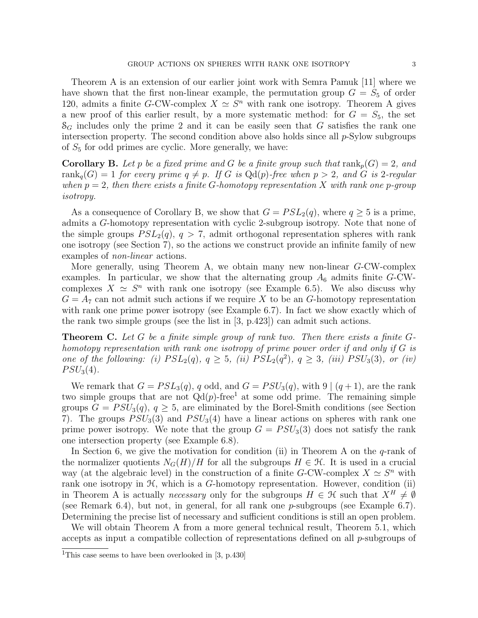Theorem A is an extension of our earlier joint work with Semra Pamuk [11] where we have shown that the first non-linear example, the permutation group  $G = S_5$  of order 120, admits a finite G-CW-complex  $X \simeq S^n$  with rank one isotropy. Theorem A gives a new proof of this earlier result, by a more systematic method: for  $G = S_5$ , the set  $\mathcal{S}_G$  includes only the prime 2 and it can be easily seen that G satisfies the rank one intersection property. The second condition above also holds since all  $p$ -Sylow subgroups of  $S_5$  for odd primes are cyclic. More generally, we have:

**Corollary B.** Let p be a fixed prime and G be a finite group such that  $rank_n(G) = 2$ , and rank<sub>q</sub> $(G) = 1$  for every prime  $q \neq p$ . If G is Qd(p)-free when  $p > 2$ , and G is 2-regular when  $p = 2$ , then there exists a finite G-homotopy representation X with rank one p-group isotropy.

As a consequence of Corollary B, we show that  $G = PSL_2(q)$ , where  $q \geq 5$  is a prime, admits a G-homotopy representation with cyclic 2-subgroup isotropy. Note that none of the simple groups  $PSL_2(q)$ ,  $q > 7$ , admit orthogonal representation spheres with rank one isotropy (see Section 7), so the actions we construct provide an infinite family of new examples of *non-linear* actions.

More generally, using Theorem A, we obtain many new non-linear G-CW-complex examples. In particular, we show that the alternating group  $A_6$  admits finite G-CWcomplexes  $X \simeq S^n$  with rank one isotropy (see Example 6.5). We also discuss why  $G = A_7$  can not admit such actions if we require X to be an G-homotopy representation with rank one prime power isotropy (see Example 6.7). In fact we show exactly which of the rank two simple groups (see the list in [3, p.423]) can admit such actions.

**Theorem C.** Let G be a finite simple group of rank two. Then there exists a finite  $G$ homotopy representation with rank one isotropy of prime power order if and only if G is one of the following: (i)  $PSL_2(q)$ ,  $q \geq 5$ , (ii)  $PSL_2(q^2)$ ,  $q \geq 3$ , (iii)  $PSU_3(3)$ , or (iv)  $PSU_3(4)$ .

We remark that  $G = PSL<sub>3</sub>(q)$ , q odd, and  $G = PSU<sub>3</sub>(q)$ , with  $9 | (q+1)$ , are the rank two simple groups that are not  $Qd(p)$ -free<sup>1</sup> at some odd prime. The remaining simple groups  $G = PSU_3(q)$ ,  $q \geq 5$ , are eliminated by the Borel-Smith conditions (see Section 7). The groups  $PSU_3(3)$  and  $PSU_3(4)$  have a linear actions on spheres with rank one prime power isotropy. We note that the group  $G = PSU_3(3)$  does not satisfy the rank one intersection property (see Example 6.8).

In Section 6, we give the motivation for condition (ii) in Theorem A on the  $q$ -rank of the normalizer quotients  $N_G(H)/H$  for all the subgroups  $H \in \mathcal{H}$ . It is used in a crucial way (at the algebraic level) in the construction of a finite G-CW-complex  $X \simeq S^n$  with rank one isotropy in  $H$ , which is a  $G$ -homotopy representation. However, condition (ii) in Theorem A is actually *necessary* only for the subgroups  $H \in \mathcal{H}$  such that  $X^H \neq \emptyset$ (see Remark 6.4), but not, in general, for all rank one  $p$ -subgroups (see Example 6.7). Determining the precise list of necessary and sufficient conditions is still an open problem.

We will obtain Theorem A from a more general technical result, Theorem 5.1, which accepts as input a compatible collection of representations defined on all p-subgroups of

<sup>&</sup>lt;sup>1</sup>This case seems to have been overlooked in [3, p.430]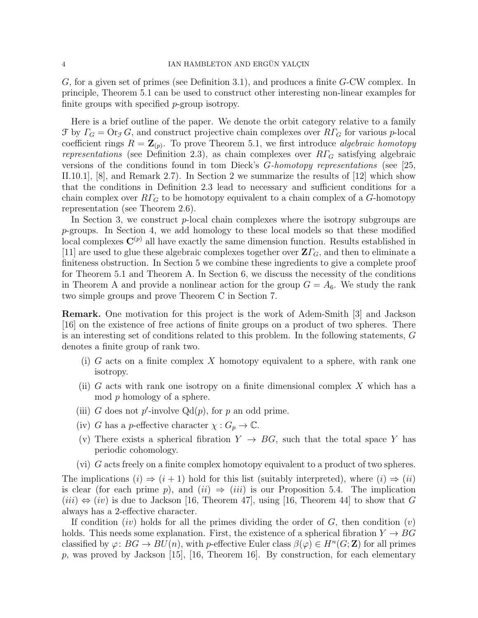G, for a given set of primes (see Definition 3.1), and produces a finite G-CW complex. In principle, Theorem 5.1 can be used to construct other interesting non-linear examples for finite groups with specified p-group isotropy.

Here is a brief outline of the paper. We denote the orbit category relative to a family  $\mathcal{F}$  by  $\Gamma_G = \text{Or}_{\mathcal{F}} G$ , and construct projective chain complexes over  $R\Gamma_G$  for various p-local coefficient rings  $R = \mathbf{Z}_{(p)}$ . To prove Theorem 5.1, we first introduce algebraic homotopy representations (see Definition 2.3), as chain complexes over  $R\Gamma_G$  satisfying algebraic versions of the conditions found in tom Dieck's G-homotopy representations (see [25, II.10.1], [8], and Remark 2.7). In Section 2 we summarize the results of [12] which show that the conditions in Definition 2.3 lead to necessary and sufficient conditions for a chain complex over  $R\Gamma_G$  to be homotopy equivalent to a chain complex of a G-homotopy representation (see Theorem 2.6).

In Section 3, we construct  $p$ -local chain complexes where the isotropy subgroups are p-groups. In Section 4, we add homology to these local models so that these modified local complexes  $\mathbf{C}^{(p)}$  all have exactly the same dimension function. Results established in [11] are used to glue these algebraic complexes together over  $\mathbf{Z}\Gamma_G$ , and then to eliminate a finiteness obstruction. In Section 5 we combine these ingredients to give a complete proof for Theorem 5.1 and Theorem A. In Section 6, we discuss the necessity of the conditions in Theorem A and provide a nonlinear action for the group  $G = A_6$ . We study the rank two simple groups and prove Theorem C in Section 7.

Remark. One motivation for this project is the work of Adem-Smith [3] and Jackson [16] on the existence of free actions of finite groups on a product of two spheres. There is an interesting set of conditions related to this problem. In the following statements, G denotes a finite group of rank two.

- (i) G acts on a finite complex X homotopy equivalent to a sphere, with rank one isotropy.
- (ii) G acts with rank one isotropy on a finite dimensional complex  $X$  which has a mod p homology of a sphere.
- (iii) G does not p'-involve  $Qd(p)$ , for p an odd prime.
- (iv) G has a p-effective character  $\chi: G_p \to \mathbb{C}$ .
- (v) There exists a spherical fibration  $Y \rightarrow BG$ , such that the total space Y has periodic cohomology.
- (vi) G acts freely on a finite complex homotopy equivalent to a product of two spheres.

The implications  $(i) \Rightarrow (i+1)$  hold for this list (suitably interpreted), where  $(i) \Rightarrow (ii)$ is clear (for each prime p), and  $(ii) \Rightarrow (iii)$  is our Proposition 5.4. The implication  $(iii) \Leftrightarrow (iv)$  is due to Jackson [16, Theorem 47], using [16, Theorem 44] to show that G always has a 2-effective character.

If condition (iv) holds for all the primes dividing the order of  $G$ , then condition (v) holds. This needs some explanation. First, the existence of a spherical fibration  $Y \to BG$ classified by  $\varphi: BG \to BU(n)$ , with p-effective Euler class  $\beta(\varphi) \in H^n(G; \mathbb{Z})$  for all primes p, was proved by Jackson [15], [16, Theorem 16]. By construction, for each elementary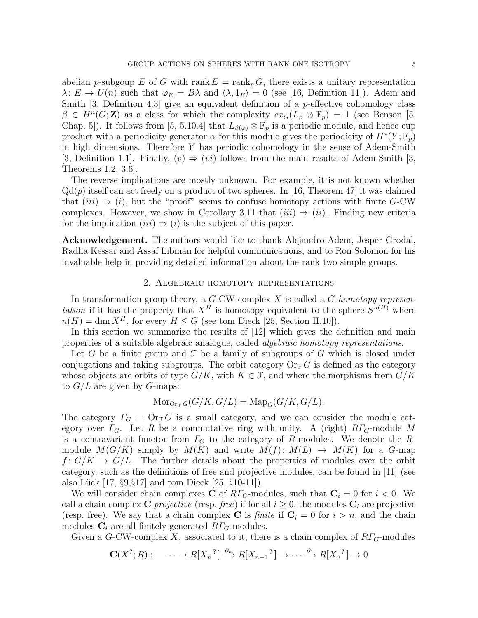abelian p-subgoup E of G with rank  $E = \text{rank}_p G$ , there exists a unitary representation  $\lambda: E \to U(n)$  such that  $\varphi_E = B\lambda$  and  $\langle \lambda, 1_E \rangle = 0$  (see [16, Definition 11]). Adem and Smith  $[3,$  Definition 4.3 give an equivalent definition of a *p*-effective cohomology class  $\beta \in H^n(G; \mathbb{Z})$  as a class for which the complexity  $cx_G(L_\beta \otimes \mathbb{F}_p) = 1$  (see Benson [5, Chap. 5]). It follows from [5, 5.10.4] that  $L_{\beta(\varphi)} \otimes \mathbb{F}_p$  is a periodic module, and hence cup product with a periodicity generator  $\alpha$  for this module gives the periodicity of  $H^*(Y; \mathbb{F}_p)$ in high dimensions. Therefore  $Y$  has periodic cohomology in the sense of Adem-Smith [3, Definition 1.1]. Finally,  $(v) \Rightarrow (vi)$  follows from the main results of Adem-Smith [3,

The reverse implications are mostly unknown. For example, it is not known whether  $Qd(p)$  itself can act freely on a product of two spheres. In [16, Theorem 47] it was claimed that  $(iii) \Rightarrow (i)$ , but the "proof" seems to confuse homotopy actions with finite G-CW complexes. However, we show in Corollary 3.11 that  $(iii) \Rightarrow (ii)$ . Finding new criteria for the implication  $(iii) \Rightarrow (i)$  is the subject of this paper.

Theorems 1.2, 3.6].

Acknowledgement. The authors would like to thank Alejandro Adem, Jesper Grodal, Radha Kessar and Assaf Libman for helpful communications, and to Ron Solomon for his invaluable help in providing detailed information about the rank two simple groups.

# 2. Algebraic homotopy representations

In transformation group theory, a  $G$ -CW-complex  $X$  is called a  $G$ -homotopy representation if it has the property that  $X^H$  is homotopy equivalent to the sphere  $S^{n(H)}$  where  $n(H) = \dim X^H$ , for every  $H \leq G$  (see tom Dieck [25, Section II.10]).

In this section we summarize the results of [12] which gives the definition and main properties of a suitable algebraic analogue, called algebraic homotopy representations.

Let G be a finite group and  $\mathcal F$  be a family of subgroups of G which is closed under conjugations and taking subgroups. The orbit category  $\text{Or}_{\mathcal{F}}G$  is defined as the category whose objects are orbits of type  $G/K$ , with  $K \in \mathcal{F}$ , and where the morphisms from  $G/K$ to  $G/L$  are given by G-maps:

$$
\operatorname{Mor}_{\operatorname{Or}_{\mathcal{F}}G}(G/K, G/L) = \operatorname{Map}_G(G/K, G/L).
$$

The category  $\Gamma_G = \mathrm{Or}_{\mathcal{F}}G$  is a small category, and we can consider the module category over  $\Gamma_G$ . Let R be a commutative ring with unity. A (right)  $R\Gamma_G$ -module M is a contravariant functor from  $\Gamma_G$  to the category of R-modules. We denote the Rmodule  $M(G/K)$  simply by  $M(K)$  and write  $M(f): M(L) \rightarrow M(K)$  for a G-map  $f: G/K \to G/L$ . The further details about the properties of modules over the orbit category, such as the definitions of free and projective modules, can be found in [11] (see also Lück  $[17, \S9, \S17]$  and tom Dieck  $[25, \S10-11]$ .

We will consider chain complexes C of  $RT_G$ -modules, such that  $C_i = 0$  for  $i < 0$ . We call a chain complex C *projective* (resp. free) if for all  $i \geq 0$ , the modules  $C_i$  are projective (resp. free). We say that a chain complex C is *finite* if  $C_i = 0$  for  $i > n$ , and the chain modules  $\mathbf{C}_i$  are all finitely-generated  $R\Gamma_G$ -modules.

Given a G-CW-complex X, associated to it, there is a chain complex of  $R\Gamma$ <sub>G</sub>-modules

$$
\mathbf{C}(X^?, R): \cdots \to R[X_n]^? \xrightarrow{\partial_n} R[X_{n-1}]^? \to \cdots \xrightarrow{\partial_1} R[X_0]^? \to 0
$$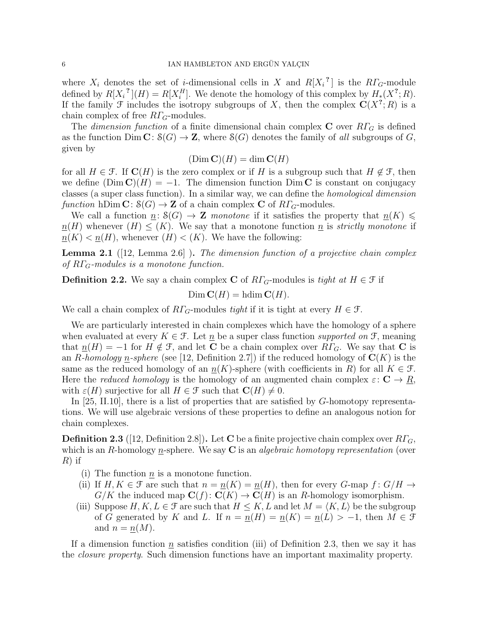where  $X_i$  denotes the set of *i*-dimensional cells in X and  $R[X_i^2]$  is the  $R\Gamma_G$ -module defined by  $R[X_i^{\,2}](H) = R[X_i^H]$ . We denote the homology of this complex by  $H_*(X^2;R)$ . If the family  $\mathcal F$  includes the isotropy subgroups of X, then the complex  $\mathbf C(X^?;R)$  is a chain complex of free  $R\Gamma$ <sub>G</sub>-modules.

The dimension function of a finite dimensional chain complex C over  $R\Gamma_G$  is defined as the function  $\text{Dim } \mathbf{C} \colon \mathcal{S}(G) \to \mathbf{Z}$ , where  $\mathcal{S}(G)$  denotes the family of all subgroups of G, given by

 $(Dim C)(H) = dim C(H)$ 

for all  $H \in \mathcal{F}$ . If  $\mathbf{C}(H)$  is the zero complex or if H is a subgroup such that  $H \notin \mathcal{F}$ , then we define  $(Dim \mathbf{C})(H) = -1$ . The dimension function Dim C is constant on conjugacy classes (a super class function). In a similar way, we can define the homological dimension function hDim  $\mathbf{C}: \mathcal{S}(G) \to \mathbf{Z}$  of a chain complex C of  $R\Gamma_G$ -modules.

We call a function  $n: S(G) \to \mathbb{Z}$  monotone if it satisfies the property that  $n(K) \leq$  $n(H)$  whenever  $(H) \leq (K)$ . We say that a monotone function n is strictly monotone if  $n(K) < n(H)$ , whenever  $(H) < (K)$ . We have the following:

**Lemma 2.1** ([12, Lemma 2.6]). The dimension function of a projective chain complex of  $R\Gamma_G$ -modules is a monotone function.

**Definition 2.2.** We say a chain complex C of  $R\Gamma$ <sub>G</sub>-modules is tight at  $H \in \mathcal{F}$  if

 $\text{Dim }\mathbf C(H)=\text{hdim }\mathbf C(H).$ 

We call a chain complex of  $R\Gamma_G$ -modules tight if it is tight at every  $H \in \mathcal{F}$ .

We are particularly interested in chain complexes which have the homology of a sphere when evaluated at every  $K \in \mathcal{F}$ . Let  $\underline{n}$  be a super class function supported on  $\mathcal{F}$ , meaning that  $n(H) = -1$  for  $H \notin \mathcal{F}$ , and let **C** be a chain complex over  $R\Gamma_G$ . We say that **C** is an R-homology n-sphere (see [12, Definition 2.7]) if the reduced homology of  $\mathbf{C}(K)$  is the same as the reduced homology of an  $\underline{n}(K)$ -sphere (with coefficients in R) for all  $K \in \mathcal{F}$ . Here the *reduced homology* is the homology of an augmented chain complex  $\varepsilon: \mathbf{C} \to \underline{R}$ , with  $\varepsilon(H)$  surjective for all  $H \in \mathcal{F}$  such that  $\mathbf{C}(H) \neq 0$ .

In [25, II.10], there is a list of properties that are satisfied by G-homotopy representations. We will use algebraic versions of these properties to define an analogous notion for chain complexes.

**Definition 2.3** ([12, Definition 2.8]). Let **C** be a finite projective chain complex over  $R\Gamma$ <sub>G</sub>, which is an R-homology  $n$ -sphere. We say  $C$  is an *algebraic homotopy representation* (over  $R)$  if

- (i) The function  $n$  is a monotone function.
- (ii) If  $H, K \in \mathcal{F}$  are such that  $n = n(K) = n(H)$ , then for every G-map  $f: G/H \to$  $G/K$  the induced map  $\mathbf{C}(f): \mathbf{C}(K) \to \mathbf{C}(H)$  is an R-homology isomorphism.
- (iii) Suppose  $H, K, L \in \mathcal{F}$  are such that  $H \leq K, L$  and let  $M = \langle K, L \rangle$  be the subgroup of G generated by K and L. If  $n = n(H) = n(K) = n(L) > -1$ , then  $M \in \mathcal{F}$ and  $n = n(M)$ .

If a dimension function  $n$  satisfies condition (iii) of Definition 2.3, then we say it has the closure property. Such dimension functions have an important maximality property.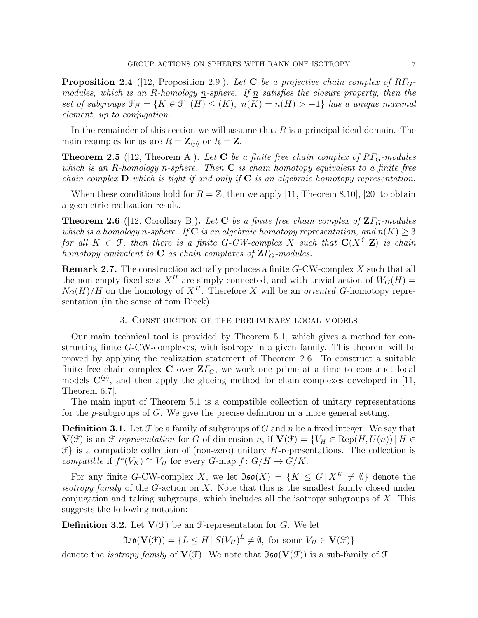**Proposition 2.4** ([12, Proposition 2.9]). Let C be a projective chain complex of  $R\Gamma$ <sub>G</sub>modules, which is an R-homology <u>n</u>-sphere. If  $\underline{n}$  satisfies the closure property, then the set of subgroups  $\mathfrak{F}_H = \{K \in \mathfrak{F} \mid (H) \leq (K), \underline{n}(K) = \underline{n}(H) > -1\}$  has a unique maximal element, up to conjugation.

In the remainder of this section we will assume that  $R$  is a principal ideal domain. The main examples for us are  $R = \mathbf{Z}_{(p)}$  or  $R = \mathbf{Z}$ .

**Theorem 2.5** ([12, Theorem A]). Let **C** be a finite free chain complex of  $R\Gamma$ <sub>G</sub>-modules which is an R-homology n-sphere. Then  $C$  is chain homotopy equivalent to a finite free chain complex  $\bf{D}$  which is tight if and only if  $\bf{C}$  is an algebraic homotopy representation.

When these conditions hold for  $R = \mathbb{Z}$ , then we apply [11, Theorem 8.10], [20] to obtain a geometric realization result.

**Theorem 2.6** ([12, Corollary B]). Let C be a finite free chain complex of  $\mathbf{Z}\Gamma_{G}$ -modules which is a homology n-sphere. If C is an algebraic homotopy representation, and  $n(K) \geq 3$ for all  $K \in \mathcal{F}$ , then there is a finite G-CW-complex X such that  $\mathbf{C}(X^2;\mathbf{Z})$  is chain homotopy equivalent to **C** as chain complexes of  $\mathbf{Z}\Gamma_G$ -modules.

Remark 2.7. The construction actually produces a finite G-CW-complex X such that all the non-empty fixed sets  $X^H$  are simply-connected, and with trivial action of  $W_G(H)$  =  $N_G(H)/H$  on the homology of  $X^H$ . Therefore X will be an *oriented* G-homotopy representation (in the sense of tom Dieck).

### 3. Construction of the preliminary local models

Our main technical tool is provided by Theorem 5.1, which gives a method for constructing finite G-CW-complexes, with isotropy in a given family. This theorem will be proved by applying the realization statement of Theorem 2.6. To construct a suitable finite free chain complex C over  $\mathbf{Z}\Gamma_G$ , we work one prime at a time to construct local models  $\mathbf{C}^{(p)}$ , and then apply the glueing method for chain complexes developed in [11, Theorem 6.7].

The main input of Theorem 5.1 is a compatible collection of unitary representations for the p-subgroups of G. We give the precise definition in a more general setting.

**Definition 3.1.** Let  $\mathcal F$  be a family of subgroups of G and n be a fixed integer. We say that  $\mathbf{V}(\mathcal{F})$  is an  $\mathcal{F}\text{-}representation$  for G of dimension n, if  $\mathbf{V}(\mathcal{F}) = \{V_H \in \text{Rep}(H, U(n)) \mid H \in$  $\mathcal{F}$  is a compatible collection of (non-zero) unitary H-representations. The collection is compatible if  $f^*(V_K) \cong V_H$  for every G-map  $f: G/H \to G/K$ .

For any finite G-CW-complex X, we let  $\mathfrak{Iso}(X) = \{K \leq G \mid X^K \neq \emptyset\}$  denote the *isotropy family* of the G-action on X. Note that this is the smallest family closed under conjugation and taking subgroups, which includes all the isotropy subgroups of  $X$ . This suggests the following notation:

**Definition 3.2.** Let  $V(\mathcal{F})$  be an  $\mathcal{F}$ -representation for G. We let

 $\mathfrak{Iso}(\mathbf{V}(\mathcal{F})) = \{ L \leq H \mid S(V_H)^L \neq \emptyset, \text{ for some } V_H \in \mathbf{V}(\mathcal{F}) \}$ 

denote the *isotropy family* of  $V(f)$ . We note that  $\mathfrak{Iso}(V(f))$  is a sub-family of  $f$ .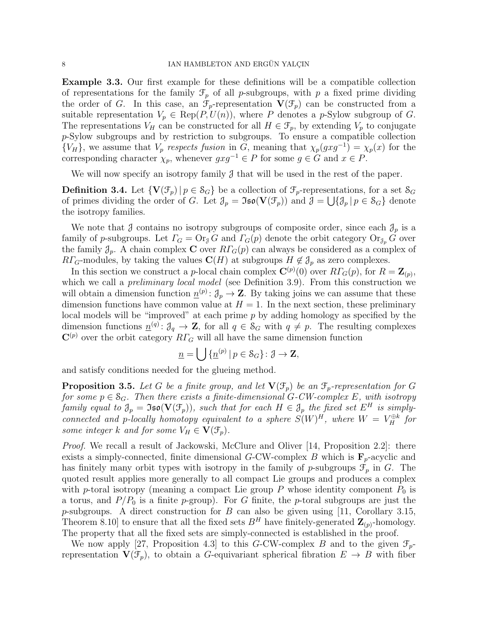Example 3.3. Our first example for these definitions will be a compatible collection of representations for the family  $\mathcal{F}_p$  of all p-subgroups, with p a fixed prime dividing the order of G. In this case, an  $\mathcal{F}_p$ -representation  $\mathbf{V}(\mathcal{F}_p)$  can be constructed from a suitable representation  $V_p \in \text{Rep}(P, U(n))$ , where P denotes a p-Sylow subgroup of G. The representations  $V_H$  can be constructed for all  $H \in \mathcal{F}_p$ , by extending  $V_p$  to conjugate p-Sylow subgroups and by restriction to subgroups. To ensure a compatible collection  ${V_H}$ , we assume that  $V_p$  respects fusion in G, meaning that  $\chi_p(gxg^{-1}) = \chi_p(x)$  for the corresponding character  $\chi_p$ , whenever  $gxg^{-1} \in P$  for some  $g \in G$  and  $x \in P$ .

We will now specify an isotropy family  $\mathcal J$  that will be used in the rest of the paper.

**Definition 3.4.** Let  $\{V(\mathcal{F}_p) | p \in \mathcal{S}_G\}$  be a collection of  $\mathcal{F}_p$ -representations, for a set  $\mathcal{S}_G$ of primes dividing the order of G. Let  $\mathcal{J}_p = \mathfrak{Iso}(\mathbf{V}(\mathcal{F}_p))$  and  $\mathcal{J} = \bigcup \{ \mathcal{J}_p | p \in \mathcal{S}_G \}$  denote the isotropy families.

We note that  $\beta$  contains no isotropy subgroups of composite order, since each  $\mathcal{J}_p$  is a family of p-subgroups. Let  $\Gamma_G = \text{Or}_{\mathcal{J}} G$  and  $\Gamma_G(p)$  denote the orbit category  $\text{Or}_{\mathcal{J}_p} G$  over the family  $\mathcal{J}_p$ . A chain complex **C** over  $R\Gamma_G(p)$  can always be considered as a complex of  $R\Gamma_G$ -modules, by taking the values  $\mathbf{C}(H)$  at subgroups  $H \notin \mathcal{J}_p$  as zero complexes.

In this section we construct a *p*-local chain complex  $\mathbf{C}^{(p)}(0)$  over  $R\Gamma_G(p)$ , for  $R = \mathbf{Z}_{(p)}$ , which we call a *preliminary local model* (see Definition 3.9). From this construction we will obtain a dimension function  $\underline{n}^{(p)}$ :  $\mathcal{J}_p \to \mathbf{Z}$ . By taking joins we can assume that these dimension functions have common value at  $H = 1$ . In the next section, these preliminary local models will be "improved" at each prime p by adding homology as specified by the dimension functions  $\underline{n}^{(q)}: \mathcal{J}_q \to \mathbf{Z}$ , for all  $q \in \mathcal{S}_G$  with  $q \neq p$ . The resulting complexes  $\mathbf{C}^{(p)}$  over the orbit category  $R\Gamma_G$  will all have the same dimension function

$$
\underline{n} = \bigcup {\underline{n}^{(p)} | p \in \mathcal{S}_G} : \partial \to \mathbf{Z},
$$

and satisfy conditions needed for the glueing method.

**Proposition 3.5.** Let G be a finite group, and let  $\mathbf{V}(\mathcal{F}_p)$  be an  $\mathcal{F}_p$ -representation for G for some  $p \in S_G$ . Then there exists a finite-dimensional G-CW-complex E, with isotropy family equal to  $\mathfrak{J}_p = \mathfrak{Iso}(\mathbf{V}(\mathfrak{F}_p))$ , such that for each  $H \in \mathfrak{J}_p$  the fixed set  $E^H$  is simplyconnected and p-locally homotopy equivalent to a sphere  $S(W)^{H}$ , where  $W = V_{H}^{\oplus k}$  for some integer k and for some  $V_H \in V(\mathcal{F}_p)$ .

*Proof.* We recall a result of Jackowski, McClure and Oliver [14, Proposition 2.2]: there exists a simply-connected, finite dimensional G-CW-complex B which is  $\mathbf{F}_p$ -acyclic and has finitely many orbit types with isotropy in the family of p-subgroups  $\mathcal{F}_p$  in G. The quoted result applies more generally to all compact Lie groups and produces a complex with p-toral isotropy (meaning a compact Lie group P whose identity component  $P_0$  is a torus, and  $P/P_0$  is a finite p-group). For G finite, the p-toral subgroups are just the p-subgroups. A direct construction for  $B$  can also be given using [11, Corollary 3.15, Theorem 8.10] to ensure that all the fixed sets  $B<sup>H</sup>$  have finitely-generated  $\mathbf{Z}_{(p)}$ -homology. The property that all the fixed sets are simply-connected is established in the proof.

We now apply [27, Proposition 4.3] to this G-CW-complex B and to the given  $\mathcal{F}_p$ representation  $\mathbf{V}(\mathcal{F}_p)$ , to obtain a G-equivariant spherical fibration  $E \to B$  with fiber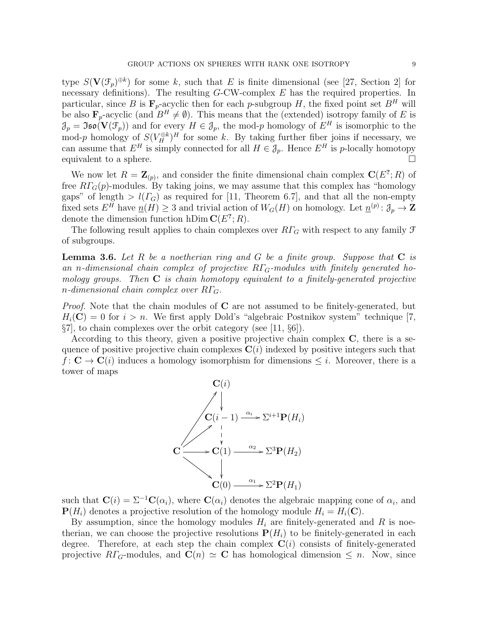type  $S(\mathbf{V}(\mathcal{F}_p)^{\oplus k})$  for some k, such that E is finite dimensional (see [27, Section 2] for necessary definitions). The resulting  $G$ -CW-complex  $E$  has the required properties. In particular, since B is  $\mathbf{F}_p$ -acyclic then for each p-subgroup H, the fixed point set  $B^H$  will be also  $\mathbf{F}_p$ -acyclic (and  $B^H \neq \emptyset$ ). This means that the (extended) isotropy family of E is  $\mathcal{J}_p = \mathfrak{Iso}(\mathbf{V}(\mathcal{F}_p))$  and for every  $H \in \mathcal{J}_p$ , the mod-p homology of  $E^H$  is isomorphic to the mod-p homology of  $S(V_H^{\oplus k})^H$  for some k. By taking further fiber joins if necessary, we can assume that  $E^H$  is simply connected for all  $H \in \mathcal{J}_p$ . Hence  $E^H$  is p-locally homotopy equivalent to a sphere.  $\Box$ 

We now let  $R = \mathbf{Z}_{(p)}$ , and consider the finite dimensional chain complex  $\mathbf{C}(E^2; R)$  of free  $R\Gamma$ <sub>G</sub> $(p)$ -modules. By taking joins, we may assume that this complex has "homology" gaps" of length  $> l(\Gamma_G)$  as required for [11, Theorem 6.7], and that all the non-empty fixed sets  $E^H$  have  $\underline{n}(H) \geq 3$  and trivial action of  $W_G(H)$  on homology. Let  $\underline{n}^{(p)}$ :  $\mathcal{J}_p \to \mathbf{Z}$ denote the dimension function hDim  $\mathbf{C}(E^?;R)$ .

The following result applies to chain complexes over  $R\Gamma_G$  with respect to any family  $\mathcal F$ of subgroups.

**Lemma 3.6.** Let R be a noetherian ring and G be a finite group. Suppose that  $C$  is an n-dimensional chain complex of projective  $R\Gamma$ <sub>G</sub>-modules with finitely generated homology groups. Then  $C$  is chain homotopy equivalent to a finitely-generated projective n-dimensional chain complex over  $R\Gamma_G$ .

*Proof.* Note that the chain modules of  $C$  are not assumed to be finitely-generated, but  $H_i(\mathbf{C}) = 0$  for  $i > n$ . We first apply Dold's "algebraic Postnikov system" technique [7,  $\S7$ , to chain complexes over the orbit category (see [11,  $\S6$ ).

According to this theory, given a positive projective chain complex  $C$ , there is a sequence of positive projective chain complexes  $C(i)$  indexed by positive integers such that  $f: \mathbf{C} \to \mathbf{C}(i)$  induces a homology isomorphism for dimensions  $\leq i$ . Moreover, there is a tower of maps



such that  $\mathbf{C}(i) = \Sigma^{-1}\mathbf{C}(\alpha_i)$ , where  $\mathbf{C}(\alpha_i)$  denotes the algebraic mapping cone of  $\alpha_i$ , and  ${\bf P}(H_i)$  denotes a projective resolution of the homology module  $H_i = H_i({\bf C})$ .

By assumption, since the homology modules  $H_i$  are finitely-generated and R is noetherian, we can choose the projective resolutions  $P(H_i)$  to be finitely-generated in each degree. Therefore, at each step the chain complex  $\mathbf{C}(i)$  consists of finitely-generated projective  $R\Gamma_G$ -modules, and  $\mathbf{C}(n) \simeq \mathbf{C}$  has homological dimension  $\leq n$ . Now, since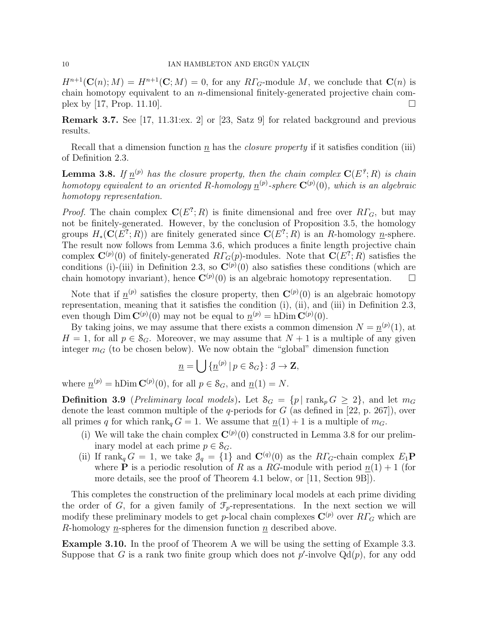$H^{n+1}(\mathbf{C}(n); M) = H^{n+1}(\mathbf{C}; M) = 0$ , for any  $R\Gamma_G$ -module M, we conclude that  $\mathbf{C}(n)$  is chain homotopy equivalent to an n-dimensional finitely-generated projective chain complex by [17, Prop. 11.10].

Remark 3.7. See [17, 11.31:ex. 2] or [23, Satz 9] for related background and previous results.

Recall that a dimension function  $\underline{n}$  has the *closure property* if it satisfies condition (iii) of Definition 2.3.

**Lemma 3.8.** If  $\underline{n}^{(p)}$  has the closure property, then the chain complex  $\mathbf{C}(E^2;R)$  is chain homotopy equivalent to an oriented R-homology  $\underline{n}^{(p)}$ -sphere  $\mathbf{C}^{(p)}(0)$ , which is an algebraic homotopy representation.

*Proof.* The chain complex  $C(E^?; R)$  is finite dimensional and free over  $R\Gamma_G$ , but may not be finitely-generated. However, by the conclusion of Proposition 3.5, the homology groups  $H_*(\mathbf{C}(E^?;R))$  are finitely generated since  $\mathbf{C}(E^?;R)$  is an R-homology n-sphere. The result now follows from Lemma 3.6, which produces a finite length projective chain complex  $\mathbf{C}^{(p)}(0)$  of finitely-generated  $RT_G(p)$ -modules. Note that  $\mathbf{C}(E^?;R)$  satisfies the conditions (i)-(iii) in Definition 2.3, so  $\mathbf{C}^{(p)}(0)$  also satisfies these conditions (which are chain homotopy invariant), hence  $\mathbf{C}^{(p)}(0)$  is an algebraic homotopy representation.  $\square$ 

Note that if  $\underline{n}^{(p)}$  satisfies the closure property, then  $\mathbf{C}^{(p)}(0)$  is an algebraic homotopy representation, meaning that it satisfies the condition (i), (ii), and (iii) in Definition 2.3, even though  $\text{Dim } \mathbf{C}^{(p)}(0)$  may not be equal to  $\underline{n}^{(p)} = h \text{Dim } \mathbf{C}^{(p)}(0)$ .

By taking joins, we may assume that there exists a common dimension  $N = \underline{n}^{(p)}(1)$ , at  $H = 1$ , for all  $p \in \mathcal{S}_G$ . Moreover, we may assume that  $N + 1$  is a multiple of any given integer  $m<sub>G</sub>$  (to be chosen below). We now obtain the "global" dimension function

$$
\underline{n} = \bigcup {\{\underline{n}^{(p)} | p \in \mathcal{S}_G\}} \colon \mathcal{J} \to \mathbf{Z},
$$

where  $\underline{n}^{(p)} = h \text{Dim } \mathbf{C}^{(p)}(0)$ , for all  $p \in \mathcal{S}_G$ , and  $\underline{n}(1) = N$ .

**Definition 3.9** (Preliminary local models). Let  $S_G = \{p \mid \text{rank}_p G \geq 2\}$ , and let  $m_G$ denote the least common multiple of the q-periods for  $G$  (as defined in [22, p. 267]), over all primes q for which rank<sub>q</sub>  $G = 1$ . We assume that  $\underline{n}(1) + 1$  is a multiple of  $m_G$ .

- (i) We will take the chain complex  $\mathbf{C}^{(p)}(0)$  constructed in Lemma 3.8 for our preliminary model at each prime  $p \in \mathcal{S}_G$ .
- (ii) If rank<sub>q</sub>  $G = 1$ , we take  $\mathcal{J}_q = \{1\}$  and  $\mathbf{C}^{(q)}(0)$  as the  $R\Gamma_G$ -chain complex  $E_1\mathbf{P}$ where **P** is a periodic resolution of R as a RG-module with period  $n(1) + 1$  (for more details, see the proof of Theorem 4.1 below, or [11, Section 9B]).

This completes the construction of the preliminary local models at each prime dividing the order of G, for a given family of  $\mathcal{F}_p$ -representations. In the next section we will modify these preliminary models to get p-local chain complexes  $\mathbf{C}^{(p)}$  over  $R\Gamma_G$  which are R-homology n-spheres for the dimension function  $n$  described above.

Example 3.10. In the proof of Theorem A we will be using the setting of Example 3.3. Suppose that G is a rank two finite group which does not  $p'$ -involve  $Qd(p)$ , for any odd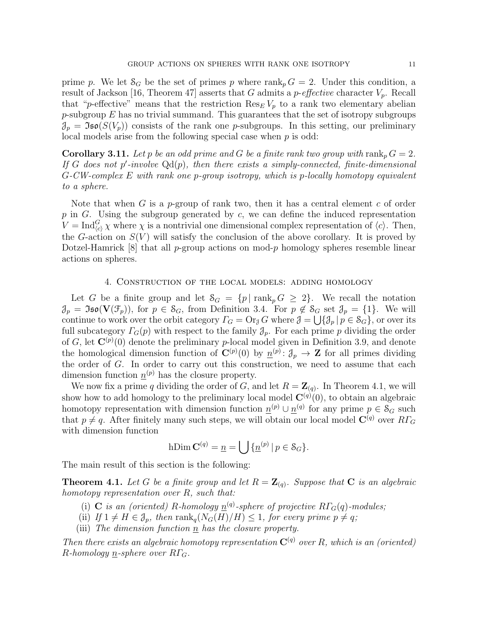prime p. We let  $S_G$  be the set of primes p where rank<sub>p</sub>  $G = 2$ . Under this condition, a result of Jackson [16, Theorem 47] asserts that G admits a *p-effective* character  $V_p$ . Recall that "p-effective" means that the restriction  $\text{Res}_{E} V_p$  to a rank two elementary abelian  $p$ -subgroup  $E$  has no trivial summand. This guarantees that the set of isotropy subgroups  $\mathcal{J}_p = \mathfrak{Iso}(S(V_p))$  consists of the rank one p-subgroups. In this setting, our preliminary local models arise from the following special case when  $p$  is odd:

**Corollary 3.11.** Let p be an odd prime and G be a finite rank two group with  $\text{rank}_p G = 2$ . If G does not p'-involve  $Qd(p)$ , then there exists a simply-connected, finite-dimensional G-CW-complex E with rank one p-group isotropy, which is p-locally homotopy equivalent to a sphere.

Note that when G is a p-group of rank two, then it has a central element c of order  $p$  in G. Using the subgroup generated by  $c$ , we can define the induced representation  $V = \text{Ind}_{(c)}^G \chi$  where  $\chi$  is a nontrivial one dimensional complex representation of  $\langle c \rangle$ . Then, the G-action on  $S(V)$  will satisfy the conclusion of the above corollary. It is proved by Dotzel-Hamrick  $[8]$  that all p-group actions on mod-p homology spheres resemble linear actions on spheres.

# 4. Construction of the local models: adding homology

Let G be a finite group and let  $S_G = \{p \mid \text{rank}_p G \geq 2\}$ . We recall the notation  $\mathcal{J}_p = \mathfrak{Iso}(\mathbf{V}(\mathcal{F}_p)),$  for  $p \in \mathcal{S}_G$ , from Definition 3.4. For  $p \notin \mathcal{S}_G$  set  $\mathcal{J}_p = \{1\}.$  We will continue to work over the orbit category  $\Gamma_G = \text{Or}_{\mathcal{J}} G$  where  $\mathcal{J} = \bigcup \{ \mathcal{J}_p | p \in \mathcal{S}_G \}$ , or over its full subcategory  $\Gamma_G(p)$  with respect to the family  $\mathcal{J}_p$ . For each prime p dividing the order of G, let  $\mathbf{C}^{(p)}(0)$  denote the preliminary p-local model given in Definition 3.9, and denote the homological dimension function of  $\mathbf{C}^{(p)}(0)$  by  $\underline{n}^{(p)}$ :  $\partial_p \to \mathbf{Z}$  for all primes dividing the order of G. In order to carry out this construction, we need to assume that each dimension function  $\underline{n}^{(p)}$  has the closure property.

We now fix a prime q dividing the order of G, and let  $R = \mathbb{Z}_{(q)}$ . In Theorem 4.1, we will show how to add homology to the preliminary local model  $\mathbf{C}^{(q)}(0)$ , to obtain an algebraic homotopy representation with dimension function  $\underline{n}^{(p)} \cup \underline{n}^{(q)}$  for any prime  $p \in \mathcal{S}_G$  such that  $p \neq q$ . After finitely many such steps, we will obtain our local model  $\mathbf{C}^{(q)}$  over  $R\Gamma_G$ with dimension function

hDim 
$$
\mathbf{C}^{(q)} = \underline{n} = \bigcup {\{\underline{n}^{(p)} | p \in \mathcal{S}_G\}}.
$$

The main result of this section is the following:

**Theorem 4.1.** Let G be a finite group and let  $R = \mathbb{Z}_{(q)}$ . Suppose that C is an algebraic homotopy representation over  $R$ , such that:

- (i) C is an (oriented) R-homology  $\underline{n}^{(q)}$ -sphere of projective R $\Gamma_G(q)$ -modules;
- (ii) If  $1 \neq H \in \mathcal{J}_p$ , then  $\text{rank}_q(N_G(H)/H) \leq 1$ , for every prime  $p \neq q$ ;
- (iii) The dimension function  $\overline{n}$  has the closure property.

Then there exists an algebraic homotopy representation  $\mathbf{C}^{(q)}$  over R, which is an (oriented)  $R\text{-}homology$  n-sphere over  $R\Gamma_G$ .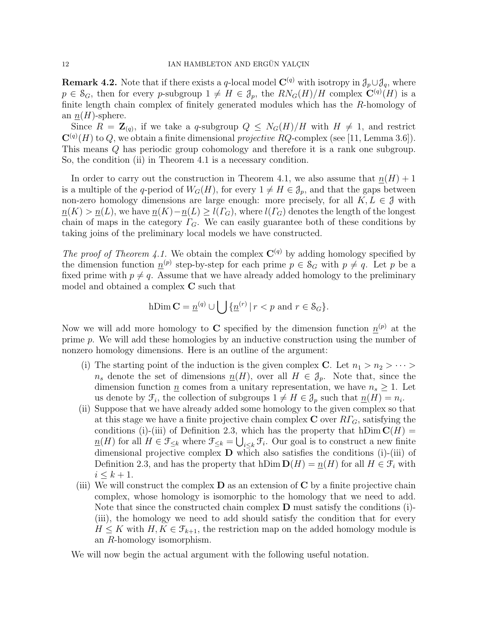**Remark 4.2.** Note that if there exists a q-local model  $\mathbf{C}^{(q)}$  with isotropy in  $\mathcal{J}_p \cup \mathcal{J}_q$ , where  $p \in S_G$ , then for every p-subgroup  $1 \neq H \in \mathcal{J}_p$ , the  $RN_G(H)/H$  complex  $\mathbb{C}^{(q)}(H)$  is a finite length chain complex of finitely generated modules which has the R-homology of an  $\underline{n}(H)$ -sphere.

Since  $R = \mathbb{Z}_{(q)}$ , if we take a q-subgroup  $Q \leq N_G(H)/H$  with  $H \neq 1$ , and restrict  $\mathbf{C}^{(q)}(H)$  to Q, we obtain a finite dimensional projective RQ-complex (see [11, Lemma 3.6]). This means Q has periodic group cohomology and therefore it is a rank one subgroup. So, the condition (ii) in Theorem 4.1 is a necessary condition.

In order to carry out the construction in Theorem 4.1, we also assume that  $n(H) + 1$ is a multiple of the q-period of  $W_G(H)$ , for every  $1 \neq H \in \mathcal{J}_p$ , and that the gaps between non-zero homology dimensions are large enough: more precisely, for all  $K, L \in \mathcal{J}$  with  $n(K) > n(L)$ , we have  $n(K) - n(L) \ge l(T_G)$ , where  $l(T_G)$  denotes the length of the longest chain of maps in the category  $\Gamma$ <sub>G</sub>. We can easily guarantee both of these conditions by taking joins of the preliminary local models we have constructed.

The proof of Theorem 4.1. We obtain the complex  $\mathbf{C}^{(q)}$  by adding homology specified by the dimension function  $\underline{n}^{(p)}$  step-by-step for each prime  $p \in S_G$  with  $p \neq q$ . Let p be a fixed prime with  $p \neq q$ . Assume that we have already added homology to the preliminary model and obtained a complex C such that

hDim 
$$
\mathbf{C} = \underline{n}^{(q)} \cup \bigcup {\{\underline{n}^{(r)} | r < p \text{ and } r \in \mathcal{S}_G\}}.
$$

Now we will add more homology to C specified by the dimension function  $\underline{n}^{(p)}$  at the prime p. We will add these homologies by an inductive construction using the number of nonzero homology dimensions. Here is an outline of the argument:

- (i) The starting point of the induction is the given complex **C**. Let  $n_1 > n_2 > \cdots >$  $n_s$  denote the set of dimensions  $\underline{n}(H)$ , over all  $H \in \mathcal{J}_p$ . Note that, since the dimension function  $\underline{n}$  comes from a unitary representation, we have  $n_s \geq 1$ . Let us denote by  $\mathcal{F}_i$ , the collection of subgroups  $1 \neq H \in \mathcal{J}_p$  such that  $\underline{n}(H) = n_i$ .
- (ii) Suppose that we have already added some homology to the given complex so that at this stage we have a finite projective chain complex  $C$  over  $R\Gamma_G$ , satisfying the conditions (i)-(iii) of Definition 2.3, which has the property that  $hDim C(H) =$  $\underline{n}(H)$  for all  $H \in \mathfrak{F}_{\leq k}$  where  $\mathfrak{F}_{\leq k} = \bigcup_{i \leq k} \mathfrak{F}_i$ . Our goal is to construct a new finite dimensional projective complex D which also satisfies the conditions (i)-(iii) of Definition 2.3, and has the property that hDim  $D(H) = n(H)$  for all  $H \in \mathcal{F}_i$  with  $i \leq k+1$ .
- (iii) We will construct the complex  $\bf{D}$  as an extension of  $\bf{C}$  by a finite projective chain complex, whose homology is isomorphic to the homology that we need to add. Note that since the constructed chain complex  $\bf{D}$  must satisfy the conditions (i)-(iii), the homology we need to add should satisfy the condition that for every  $H \leq K$  with  $H, K \in \mathcal{F}_{k+1}$ , the restriction map on the added homology module is an R-homology isomorphism.

We will now begin the actual argument with the following useful notation.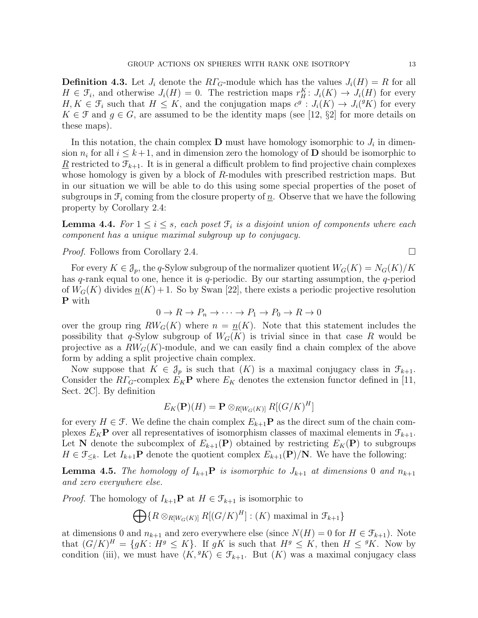**Definition 4.3.** Let  $J_i$  denote the  $R\Gamma_G$ -module which has the values  $J_i(H) = R$  for all  $H \in \mathcal{F}_i$ , and otherwise  $J_i(H) = 0$ . The restriction maps  $r_H^K: J_i(K) \to J_i(H)$  for every  $H, K \in \mathcal{F}_i$  such that  $H \leq K$ , and the conjugation maps  $c^g: J_i(K) \to J_i({}^g K)$  for every  $K \in \mathcal{F}$  and  $g \in G$ , are assumed to be the identity maps (see [12, §2] for more details on these maps).

In this notation, the chain complex  $\mathbf D$  must have homology isomorphic to  $J_i$  in dimension  $n_i$  for all  $i \leq k+1$ , and in dimension zero the homology of **D** should be isomorphic to  $\underline{R}$  restricted to  $\mathcal{F}_{k+1}$ . It is in general a difficult problem to find projective chain complexes whose homology is given by a block of R-modules with prescribed restriction maps. But in our situation we will be able to do this using some special properties of the poset of subgroups in  $\mathcal{F}_i$  coming from the closure property of  $\underline{n}$ . Observe that we have the following property by Corollary 2.4:

**Lemma 4.4.** For  $1 \leq i \leq s$ , each poset  $\mathcal{F}_i$  is a disjoint union of components where each component has a unique maximal subgroup up to conjugacy.

### *Proof.* Follows from Corollary 2.4.

For every  $K \in \mathcal{J}_p$ , the q-Sylow subgroup of the normalizer quotient  $W_G(K) = N_G(K)/K$ has q-rank equal to one, hence it is q-periodic. By our starting assumption, the q-period of  $W_G(K)$  divides  $n(K) + 1$ . So by Swan [22], there exists a periodic projective resolution P with

$$
0 \to R \to P_n \to \cdots \to P_1 \to P_0 \to R \to 0
$$

over the group ring  $RW_G(K)$  where  $n = n(K)$ . Note that this statement includes the possibility that q-Sylow subgroup of  $W_G(K)$  is trivial since in that case R would be projective as a  $RW_G(K)$ -module, and we can easily find a chain complex of the above form by adding a split projective chain complex.

Now suppose that  $K \in \mathcal{J}_p$  is such that  $(K)$  is a maximal conjugacy class in  $\mathcal{F}_{k+1}$ . Consider the  $RT_G$ -complex  $E_K$ **P** where  $E_K$  denotes the extension functor defined in [11, Sect. 2C]. By definition

$$
E_K(\mathbf{P})(H) = \mathbf{P} \otimes_{R[W_G(K)]} R[(G/K)^H]
$$

for every  $H \in \mathcal{F}$ . We define the chain complex  $E_{k+1}$ **P** as the direct sum of the chain complexes  $E_K$ **P** over all representatives of isomorphism classes of maximal elements in  $\mathcal{F}_{k+1}$ . Let **N** denote the subcomplex of  $E_{k+1}(\mathbf{P})$  obtained by restricting  $E_K(\mathbf{P})$  to subgroups  $H \in \mathfrak{F}_{\leq k}$ . Let  $I_{k+1}$ **P** denote the quotient complex  $E_{k+1}(\mathbf{P})/\mathbf{N}$ . We have the following:

**Lemma 4.5.** The homology of  $I_{k+1}$ **P** is isomorphic to  $J_{k+1}$  at dimensions 0 and  $n_{k+1}$ and zero everywhere else.

*Proof.* The homology of  $I_{k+1}$ **P** at  $H \in \mathcal{F}_{k+1}$  is isomorphic to

 $\bigoplus \{ R \otimes_{R[W_G(K)]} R[(G/K)^H] : (K) \text{ maximal in } \mathcal{F}_{k+1} \}$ 

at dimensions 0 and  $n_{k+1}$  and zero everywhere else (since  $N(H) = 0$  for  $H \in \mathcal{F}_{k+1}$ ). Note that  $(G/K)^H = \{ gK : H^g \leq K \}$ . If  $gK$  is such that  $H^g \leq K$ , then  $H \leq {}^gK$ . Now by condition (iii), we must have  $\langle K, {}^gK \rangle \in \mathcal{F}_{k+1}$ . But  $(K)$  was a maximal conjugacy class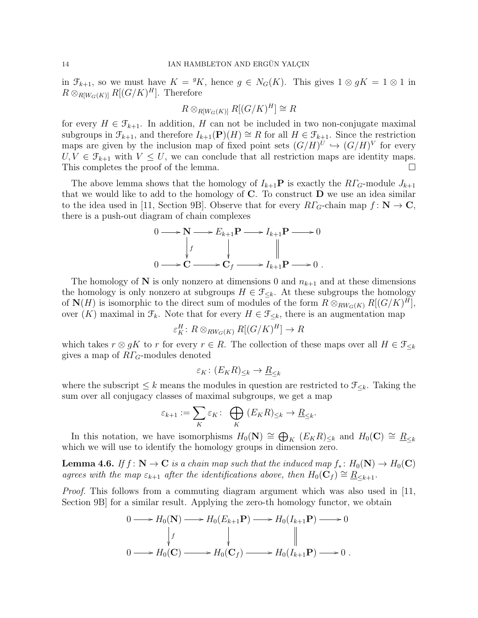in  $\mathfrak{F}_{k+1}$ , so we must have  $K = {}^gK$ , hence  $g \in N_G(K)$ . This gives  $1 \otimes gK = 1 \otimes 1$  in  $R \otimes_{R[W_G(K)]} R[(G/K)^H]$ . Therefore

$$
R \otimes_{R[W_G(K)]} R[(G/K)^H] \cong R
$$

for every  $H \in \mathcal{F}_{k+1}$ . In addition, H can not be included in two non-conjugate maximal subgroups in  $\mathcal{F}_{k+1}$ , and therefore  $I_{k+1}(\mathbf{P})(H) \cong R$  for all  $H \in \mathcal{F}_{k+1}$ . Since the restriction maps are given by the inclusion map of fixed point sets  $(G/H)^U \hookrightarrow (G/H)^V$  for every  $U, V \in \mathcal{F}_{k+1}$  with  $V \leq U$ , we can conclude that all restriction maps are identity maps. This completes the proof of the lemma.

The above lemma shows that the homology of  $I_{k+1}$ **P** is exactly the  $R\Gamma_G$ -module  $J_{k+1}$ that we would like to add to the homology of  $C$ . To construct  $D$  we use an idea similar to the idea used in [11, Section 9B]. Observe that for every  $R\Gamma_G$ -chain map  $f: \mathbb{N} \to \mathbb{C}$ , there is a push-out diagram of chain complexes

$$
0 \longrightarrow N \longrightarrow E_{k+1}P \longrightarrow I_{k+1}P \longrightarrow 0
$$
  
\n
$$
\downarrow f \qquad \qquad \downarrow f \qquad \qquad \parallel
$$
  
\n
$$
0 \longrightarrow C \longrightarrow C_f \longrightarrow I_{k+1}P \longrightarrow 0.
$$

The homology of N is only nonzero at dimensions 0 and  $n_{k+1}$  and at these dimensions the homology is only nonzero at subgroups  $H \in \mathcal{F}_{\leq k}$ . At these subgroups the homology of  $\mathbf{N}(H)$  is isomorphic to the direct sum of modules of the form  $R \otimes_{RW_G(K)} R[(G/K)^H],$ over  $(K)$  maximal in  $\mathcal{F}_k$ . Note that for every  $H \in \mathcal{F}_{\leq k}$ , there is an augmentation map

$$
\varepsilon_K^H\colon R\otimes_{RW_G(K)} R[(G/K)^H]\to R
$$

which takes  $r \otimes gK$  to r for every  $r \in R$ . The collection of these maps over all  $H \in \mathcal{F}_{\leq k}$ gives a map of  $R\Gamma$ <sub>G</sub>-modules denoted

$$
\varepsilon_K \colon (E_K R)_{\leq k} \to \underline{R}_{\leq k}
$$

where the subscript  $\leq k$  means the modules in question are restricted to  $\mathcal{F}_{\leq k}$ . Taking the sum over all conjugacy classes of maximal subgroups, we get a map

$$
\varepsilon_{k+1} := \sum_{K} \varepsilon_K : \bigoplus_{K} (E_K R)_{\leq k} \to \underline{R}_{\leq k}.
$$

In this notation, we have isomorphisms  $H_0(\mathbf{N}) \cong \bigoplus_K (E_K R)_{\leq k}$  and  $H_0(\mathbf{C}) \cong \underline{R}_{\leq k}$ which we will use to identify the homology groups in dimension zero.

**Lemma 4.6.** If  $f: \mathbb{N} \to \mathbb{C}$  is a chain map such that the induced map  $f_*: H_0(\mathbb{N}) \to H_0(\mathbb{C})$ agrees with the map  $\varepsilon_{k+1}$  after the identifications above, then  $H_0(\mathbf{C}_f) \cong \underline{R}_{\leq k+1}$ .

*Proof.* This follows from a commuting diagram argument which was also used in [11, Section 9B] for a similar result. Applying the zero-th homology functor, we obtain

$$
0 \longrightarrow H_0(\mathbf{N}) \longrightarrow H_0(E_{k+1}\mathbf{P}) \longrightarrow H_0(I_{k+1}\mathbf{P}) \longrightarrow 0
$$
  
\n
$$
\downarrow f \qquad \qquad \downarrow f \qquad \qquad \parallel
$$
  
\n
$$
0 \longrightarrow H_0(\mathbf{C}) \longrightarrow H_0(\mathbf{C}_f) \longrightarrow H_0(I_{k+1}\mathbf{P}) \longrightarrow 0.
$$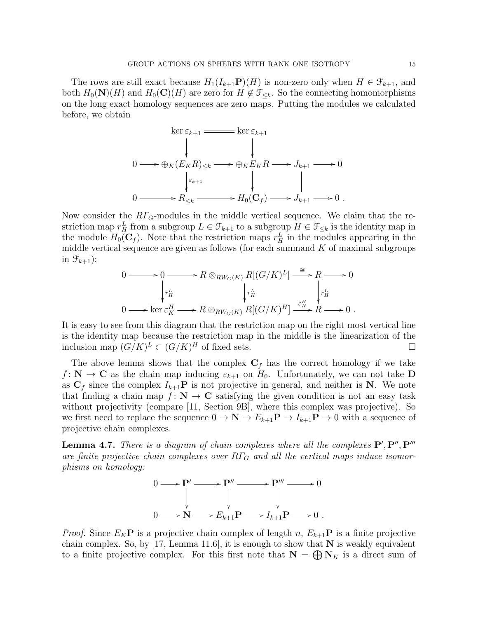The rows are still exact because  $H_1(I_{k+1}P)(H)$  is non-zero only when  $H \in \mathcal{F}_{k+1}$ , and both  $H_0(N)(H)$  and  $H_0(\mathbf{C})(H)$  are zero for  $H \notin \mathcal{F}_{\leq k}$ . So the connecting homomorphisms on the long exact homology sequences are zero maps. Putting the modules we calculated before, we obtain

$$
\ker \varepsilon_{k+1} \longrightarrow \ker \varepsilon_{k+1}
$$
\n
$$
0 \longrightarrow \bigoplus_K (E_K R)_{\leq k} \longrightarrow \bigoplus_K E_K R \longrightarrow J_{k+1} \longrightarrow 0
$$
\n
$$
\downarrow \varepsilon_{k+1} \qquad \qquad \downarrow \qquad \qquad \downarrow
$$
\n
$$
0 \longrightarrow \underline{R}_{\leq k} \longrightarrow H_0(\mathbf{C}_f) \longrightarrow J_{k+1} \longrightarrow 0.
$$

Now consider the  $R\Gamma_G$ -modules in the middle vertical sequence. We claim that the restriction map  $r_H^L$  from a subgroup  $L \in \mathcal{F}_{k+1}$  to a subgroup  $H \in \mathcal{F}_{\leq k}$  is the identity map in the module  $H_0(\mathbf{C}_f)$ . Note that the restriction maps  $r_H^L$  in the modules appearing in the middle vertical sequence are given as follows (for each summand  $K$  of maximal subgroups in  $\mathcal{F}_{k+1}$ :

$$
0 \longrightarrow 0 \longrightarrow R \otimes_{RW_G(K)} R[(G/K)^L] \xrightarrow{\cong} R \longrightarrow 0
$$
  
\n
$$
\downarrow_{H}^{L} \qquad \qquad \downarrow_{H}^{L} \qquad \qquad \downarrow_{H}^{L}
$$
  
\n
$$
0 \longrightarrow \ker \varepsilon_K^H \longrightarrow R \otimes_{RW_G(K)} R[(G/K)^H] \xrightarrow{\varepsilon_K^H} R \longrightarrow 0.
$$

It is easy to see from this diagram that the restriction map on the right most vertical line is the identity map because the restriction map in the middle is the linearization of the inclusion map  $(G/K)^L \subset (G/K)^H$  of fixed sets.

The above lemma shows that the complex  $C_f$  has the correct homology if we take  $f: \mathbb{N} \to \mathbb{C}$  as the chain map inducing  $\varepsilon_{k+1}$  on  $H_0$ . Unfortunately, we can not take **D** as  $C_f$  since the complex  $I_{k+1}P$  is not projective in general, and neither is N. We note that finding a chain map  $f: \mathbb{N} \to \mathbb{C}$  satisfying the given condition is not an easy task without projectivity (compare [11, Section 9B], where this complex was projective). So we first need to replace the sequence  $0 \to \mathbf{N} \to E_{k+1} \mathbf{P} \to I_{k+1} \mathbf{P} \to 0$  with a sequence of projective chain complexes.

**Lemma 4.7.** There is a diagram of chain complexes where all the complexes  $P', P'', P'''$ are finite projective chain complexes over  $R\Gamma_G$  and all the vertical maps induce isomorphisms on homology:

$$
0 \longrightarrow P' \longrightarrow P'' \longrightarrow P''' \longrightarrow 0
$$
  
\n
$$
\downarrow \qquad \qquad \downarrow \qquad \qquad \downarrow
$$
  
\n
$$
0 \longrightarrow N \longrightarrow E_{k+1}P \longrightarrow I_{k+1}P \longrightarrow 0.
$$

*Proof.* Since  $E_K$ **P** is a projective chain complex of length n,  $E_{k+1}$ **P** is a finite projective chain complex. So, by [17, Lemma 11.6], it is enough to show that  $N$  is weakly equivalent to a finite projective complex. For this first note that  $N = \bigoplus N_K$  is a direct sum of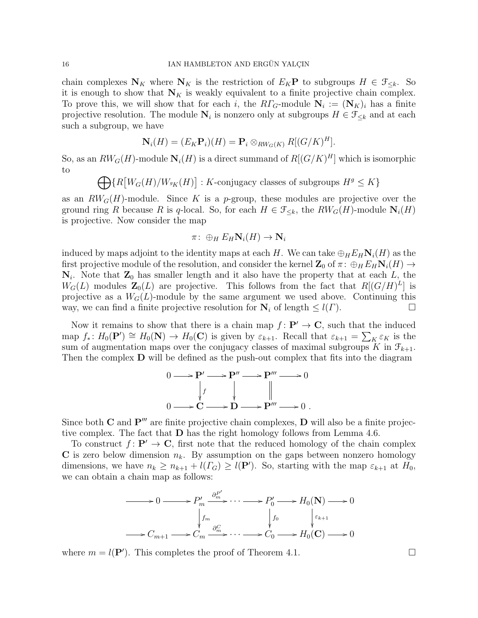chain complexes  $N_K$  where  $N_K$  is the restriction of  $E_K$ **P** to subgroups  $H \in \mathcal{F}_{\leq k}$ . So it is enough to show that  $N_K$  is weakly equivalent to a finite projective chain complex. To prove this, we will show that for each i, the  $R\Gamma_G$ -module  $N_i := (N_K)_i$  has a finite projective resolution. The module  $N_i$  is nonzero only at subgroups  $H \in \mathcal{F}_{\leq k}$  and at each such a subgroup, we have

$$
\mathbf{N}_i(H) = (E_K \mathbf{P}_i)(H) = \mathbf{P}_i \otimes_{RW_G(K)} R[(G/K)^H].
$$

So, as an  $RW_G(H)$ -module  $\mathbf{N}_i(H)$  is a direct summand of  $R[(G/K)^H]$  which is isomorphic to

 $\bigoplus \{ R \left[ W_G(H) / W_{^gK}(H) \right] : K\text{-conjugacy classes of subgroups } H^g \leq K \}$ 

as an  $RW_G(H)$ -module. Since K is a p-group, these modules are projective over the ground ring R because R is q-local. So, for each  $H \in \mathcal{F}_{\leq k}$ , the  $RW_G(H)$ -module  $\mathbf{N}_i(H)$ is projective. Now consider the map

$$
\pi\colon \oplus_H E_H \mathbf{N}_i(H) \to \mathbf{N}_i
$$

induced by maps adjoint to the identity maps at each H. We can take  $\bigoplus_{H} E_H \mathbf{N}_i(H)$  as the first projective module of the resolution, and consider the kernel  $\mathbb{Z}_0$  of  $\pi: \bigoplus_H E_H \mathbb{N}_i(H) \to$  $N_i$ . Note that  $\mathbb{Z}_0$  has smaller length and it also have the property that at each L, the  $W_G(L)$  modules  $\mathbb{Z}_0(L)$  are projective. This follows from the fact that  $R[(G/H)^L]$  is projective as a  $W_G(L)$ -module by the same argument we used above. Continuing this way, we can find a finite projective resolution for  $N_i$  of length  $\leq l(\Gamma)$ .

Now it remains to show that there is a chain map  $f : \mathbf{P}' \to \mathbf{C}$ , such that the induced map  $f_*: H_0(\mathbf{P}') \cong H_0(\mathbf{N}) \to H_0(\mathbf{C})$  is given by  $\varepsilon_{k+1}$ . Recall that  $\varepsilon_{k+1} = \sum_K \varepsilon_K$  is the sum of augmentation maps over the conjugacy classes of maximal subgroups K in  $\mathcal{F}_{k+1}$ . Then the complex D will be defined as the push-out complex that fits into the diagram



Since both  $C$  and  $P'''$  are finite projective chain complexes,  $D$  will also be a finite projective complex. The fact that D has the right homology follows from Lemma 4.6.

To construct  $f: \mathbf{P}' \to \mathbf{C}$ , first note that the reduced homology of the chain complex C is zero below dimension  $n_k$ . By assumption on the gaps between nonzero homology dimensions, we have  $n_k \ge n_{k+1} + l(\Gamma_G) \ge l(\mathbf{P}')$ . So, starting with the map  $\varepsilon_{k+1}$  at  $H_0$ , we can obtain a chain map as follows:

$$
\longrightarrow 0 \longrightarrow P'_m \xrightarrow{\partial_m^{P'}} \cdots \longrightarrow P'_0 \longrightarrow H_0(N) \longrightarrow 0
$$
  

$$
\downarrow f_m \qquad \qquad \downarrow f_0 \qquad \qquad \downarrow \varepsilon_{k+1}
$$
  

$$
\longrightarrow C_{m+1} \longrightarrow C_m \xrightarrow{\partial_m^C} \cdots \longrightarrow C_0 \longrightarrow H_0(\mathbf{C}) \longrightarrow 0
$$

where  $m = l(\mathbf{P}')$ . This completes the proof of Theorem 4.1.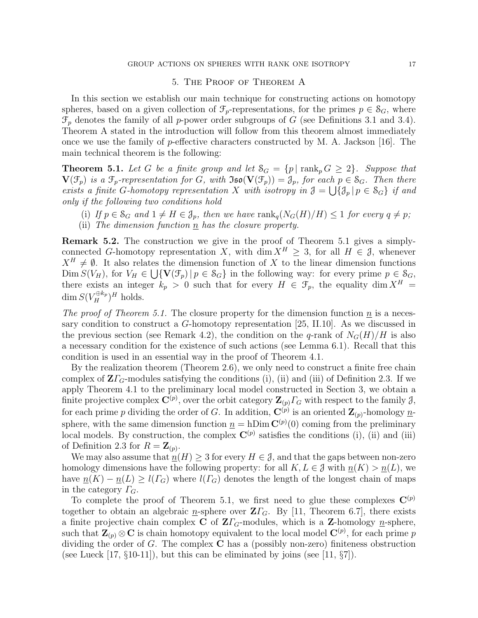## 5. The Proof of Theorem A

In this section we establish our main technique for constructing actions on homotopy spheres, based on a given collection of  $\mathcal{F}_p$ -representations, for the primes  $p \in \mathcal{S}_G$ , where  $\mathcal{F}_p$  denotes the family of all p-power order subgroups of G (see Definitions 3.1 and 3.4). Theorem A stated in the introduction will follow from this theorem almost immediately once we use the family of p-effective characters constructed by M. A. Jackson [16]. The main technical theorem is the following:

**Theorem 5.1.** Let G be a finite group and let  $S_G = \{p \mid \text{rank}_p G \geq 2\}$ . Suppose that  $\mathbf{V}(\mathcal{F}_p)$  is a  $\mathcal{F}_p$ -representation for G, with  $\mathfrak{Iso}(\mathbf{V}(\mathcal{F}_p)) = \mathcal{J}_p$ , for each  $p \in \mathcal{S}_G$ . Then there exists a finite G-homotopy representation X with isotropy in  $\mathfrak{J} = \bigcup \{ \mathfrak{J}_p | p \in \mathcal{S}_G \}$  if and only if the following two conditions hold

- (i) If  $p \in S_G$  and  $1 \neq H \in \mathcal{J}_p$ , then we have rank $_q(N_G(H)/H) \leq 1$  for every  $q \neq p$ ;
- (ii) The dimension function  $\underline{n}$  has the closure property.

Remark 5.2. The construction we give in the proof of Theorem 5.1 gives a simplyconnected G-homotopy representation X, with dim  $X^H \geq 3$ , for all  $H \in \mathcal{J}$ , whenever  $X^H \neq \emptyset$ . It also relates the dimension function of X to the linear dimension functions  $\text{Dim } S(V_H)$ , for  $V_H \in \bigcup \{ \mathbf{V}(\mathcal{F}_p) \mid p \in \mathcal{S}_G \}$  in the following way: for every prime  $p \in \mathcal{S}_G$ , there exists an integer  $k_p > 0$  such that for every  $H \in \mathcal{F}_p$ , the equality dim  $X^H =$  $\dim S(V_H^{\oplus k_p})^H$  holds.

The proof of Theorem 5.1. The closure property for the dimension function  $\underline{n}$  is a necessary condition to construct a G-homotopy representation [25, II.10]. As we discussed in the previous section (see Remark 4.2), the condition on the q-rank of  $N_G(H)/H$  is also a necessary condition for the existence of such actions (see Lemma 6.1). Recall that this condition is used in an essential way in the proof of Theorem 4.1.

By the realization theorem (Theorem 2.6), we only need to construct a finite free chain complex of  $Z\Gamma$ <sub>G</sub>-modules satisfying the conditions (i), (ii) and (iii) of Definition 2.3. If we apply Theorem 4.1 to the preliminary local model constructed in Section 3, we obtain a finite projective complex  $\mathbf{C}^{(p)}$ , over the orbit category  $\mathbf{Z}_{(p)}\Gamma_G$  with respect to the family  $\mathcal{J}$ , for each prime p dividing the order of G. In addition,  $\mathbf{C}^{(p)}$  is an oriented  $\mathbf{Z}_{(p)}$ -homology  $\underline{n}$ sphere, with the same dimension function  $\underline{n} = h \text{Dim } \mathbf{C}^{(p)}(0)$  coming from the preliminary local models. By construction, the complex  $\mathbf{C}^{(p)}$  satisfies the conditions (i), (ii) and (iii) of Definition 2.3 for  $R = \mathbf{Z}_{(p)}$ .

We may also assume that  $n(H) \geq 3$  for every  $H \in \mathcal{J}$ , and that the gaps between non-zero homology dimensions have the following property: for all  $K, L \in \mathcal{J}$  with  $n(K) > n(L)$ , we have  $\underline{n}(K) - \underline{n}(L) \ge l(\Gamma_G)$  where  $l(\Gamma_G)$  denotes the length of the longest chain of maps in the category  $\Gamma_G$ .

To complete the proof of Theorem 5.1, we first need to glue these complexes  $\mathbf{C}^{(p)}$ together to obtain an algebraic n-sphere over  $\mathbf{Z}\Gamma_G$ . By [11, Theorem 6.7], there exists a finite projective chain complex C of  $Z\Gamma$ <sub>G</sub>-modules, which is a Z-homology <u>n</u>-sphere, such that  $\mathbf{Z}_{(p)} \otimes \mathbf{C}$  is chain homotopy equivalent to the local model  $\mathbf{C}^{(p)}$ , for each prime p dividing the order of G. The complex C has a (possibly non-zero) finiteness obstruction (see Lueck [17,  $\S10-11$ ]), but this can be eliminated by joins (see [11,  $\S7$ ]).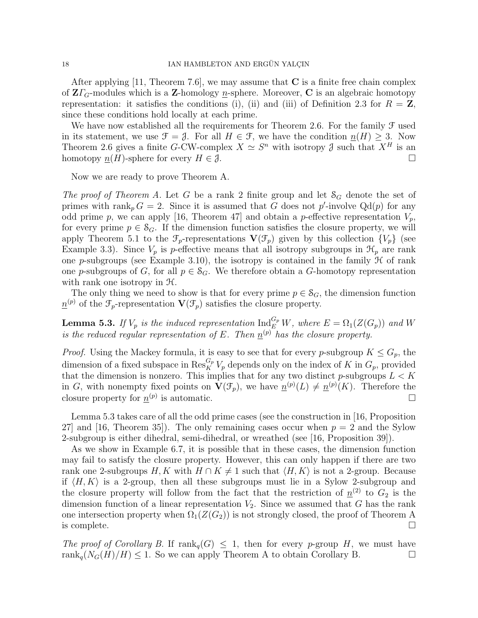After applying [11, Theorem 7.6], we may assume that  $C$  is a finite free chain complex of  $\mathbf{Z}\Gamma_G$ -modules which is a Z-homology <u>n</u>-sphere. Moreover, C is an algebraic homotopy representation: it satisfies the conditions (i), (ii) and (iii) of Definition 2.3 for  $R = \mathbf{Z}$ , since these conditions hold locally at each prime.

We have now established all the requirements for Theorem 2.6. For the family  $\mathcal F$  used in its statement, we use  $\mathcal{F} = \mathcal{J}$ . For all  $H \in \mathcal{F}$ , we have the condition  $n(H) \geq 3$ . Now Theorem 2.6 gives a finite G-CW-complex  $X \simeq S^n$  with isotropy  $\mathcal J$  such that  $X^H$  is an homotopy  $n(H)$ -sphere for every  $H \in \mathcal{J}$ .

Now we are ready to prove Theorem A.

The proof of Theorem A. Let G be a rank 2 finite group and let  $S_G$  denote the set of primes with rank<sub>p</sub>  $G = 2$ . Since it is assumed that G does not p'-involve Qd(p) for any odd prime p, we can apply [16, Theorem 47] and obtain a p-effective representation  $V_p$ , for every prime  $p \in \mathcal{S}_G$ . If the dimension function satisfies the closure property, we will apply Theorem 5.1 to the  $\mathcal{F}_p$ -representations  $\mathbf{V}(\mathcal{F}_p)$  given by this collection  $\{V_p\}$  (see Example 3.3). Since  $V_p$  is p-effective means that all isotropy subgroups in  $\mathcal{H}_p$  are rank one p-subgroups (see Example 3.10), the isotropy is contained in the family  $\mathcal H$  of rank one p-subgroups of G, for all  $p \in S_G$ . We therefore obtain a G-homotopy representation with rank one isotropy in  $\mathcal{H}$ .

The only thing we need to show is that for every prime  $p \in S_G$ , the dimension function  $\underline{n}^{(p)}$  of the  $\mathcal{F}_p$ -representation  $\mathbf{V}(\mathcal{F}_p)$  satisfies the closure property.

**Lemma 5.3.** If  $V_p$  is the induced representation  $\text{Ind}_{E}^{G_p} W$ , where  $E = \Omega_1(Z(G_p))$  and W is the reduced regular representation of E. Then  $\underline{n}^{(p)}$  has the closure property.

*Proof.* Using the Mackey formula, it is easy to see that for every p-subgroup  $K \leq G_p$ , the dimension of a fixed subspace in  $\operatorname{Res}^{G_p}_K V_p$  depends only on the index of K in  $G_p$ , provided that the dimension is nonzero. This implies that for any two distinct p-subgroups  $L < K$ in G, with nonempty fixed points on  $\mathbf{V}(\mathcal{F}_p)$ , we have  $\underline{n}^{(p)}(L) \neq \underline{n}^{(p)}(K)$ . Therefore the closure property for  $\underline{n}^{(p)}$  is automatic.

Lemma 5.3 takes care of all the odd prime cases (see the construction in [16, Proposition 27] and [16, Theorem 35]). The only remaining cases occur when  $p = 2$  and the Sylow 2-subgroup is either dihedral, semi-dihedral, or wreathed (see [16, Proposition 39]).

As we show in Example 6.7, it is possible that in these cases, the dimension function may fail to satisfy the closure property. However, this can only happen if there are two rank one 2-subgroups H, K with  $H \cap K \neq 1$  such that  $\langle H, K \rangle$  is not a 2-group. Because if  $\langle H, K \rangle$  is a 2-group, then all these subgroups must lie in a Sylow 2-subgroup and the closure property will follow from the fact that the restriction of  $\underline{n}^{(2)}$  to  $G_2$  is the dimension function of a linear representation  $V_2$ . Since we assumed that G has the rank one intersection property when  $\Omega_1(Z(G_2))$  is not strongly closed, the proof of Theorem A is complete.  $\Box$ 

The proof of Corollary B. If  $\text{rank}_q(G) \leq 1$ , then for every p-group H, we must have rank<sub>q</sub>( $N_G(H)/H$ )  $\leq$  1. So we can apply Theorem A to obtain Corollary B.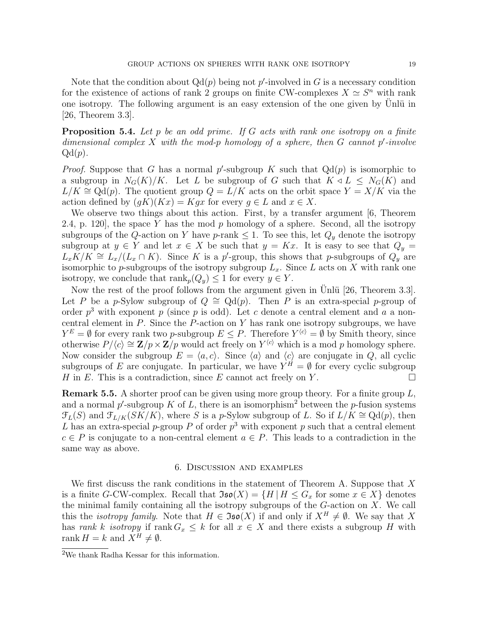Note that the condition about  $Qd(p)$  being not p'-involved in G is a necessary condition for the existence of actions of rank 2 groups on finite CW-complexes  $X \simeq S^n$  with rank one isotropy. The following argument is an easy extension of the one given by Unlü in [26, Theorem 3.3].

**Proposition 5.4.** Let  $p$  be an odd prime. If  $G$  acts with rank one isotropy on a finite dimensional complex  $X$  with the mod-p homology of a sphere, then  $G$  cannot  $p'$ -involve  $Qd(p)$ .

*Proof.* Suppose that G has a normal p'-subgroup K such that  $Qd(p)$  is isomorphic to a subgroup in  $N_G(K)/K$ . Let L be subgroup of G such that  $K \triangleleft L \leq N_G(K)$  and  $L/K \cong \mathrm{Qd}(p)$ . The quotient group  $Q = L/K$  acts on the orbit space  $Y = X/K$  via the action defined by  $(qK)(Kx) = Kqx$  for every  $q \in L$  and  $x \in X$ .

We observe two things about this action. First, by a transfer argument [6, Theorem 2.4, p. 120, the space Y has the mod p homology of a sphere. Second, all the isotropy subgroups of the Q-action on Y have p-rank  $\leq 1$ . To see this, let  $Q_y$  denote the isotropy subgroup at  $y \in Y$  and let  $x \in X$  be such that  $y = Kx$ . It is easy to see that  $Q_y =$  $L_x\widetilde{K}/K \cong L_x/(L_x \cap K)$ . Since K is a p'-group, this shows that p-subgroups of  $Q_y$  are isomorphic to p-subgroups of the isotropy subgroup  $L_x$ . Since L acts on X with rank one isotropy, we conclude that  $\text{rank}_p(Q_y) \leq 1$  for every  $y \in Y$ .

Now the rest of the proof follows from the argument given in  $\overline{U}$ nlü [26, Theorem 3.3]. Let P be a p-Sylow subgroup of  $Q \cong \mathrm{Qd}(p)$ . Then P is an extra-special p-group of order  $p^3$  with exponent p (since p is odd). Let c denote a central element and a a noncentral element in  $P$ . Since the  $P$ -action on  $Y$  has rank one isotropy subgroups, we have  $Y^E = \emptyset$  for every rank two p-subgroup  $E \leq P$ . Therefore  $Y^{\langle c \rangle} = \emptyset$  by Smith theory, since otherwise  $P/\langle c \rangle \cong \mathbf{Z}/p \times \mathbf{Z}/p$  would act freely on  $Y^{\langle c \rangle}$  which is a mod p homology sphere. Now consider the subgroup  $E = \langle a, c \rangle$ . Since  $\langle a \rangle$  and  $\langle c \rangle$  are conjugate in Q, all cyclic subgroups of E are conjugate. In particular, we have  $Y^H = \emptyset$  for every cyclic subgroup H in E. This is a contradiction, since E cannot act freely on Y.  $\Box$ 

**Remark 5.5.** A shorter proof can be given using more group theory. For a finite group  $L$ , and a normal p'-subgroup K of L, there is an isomorphism<sup>2</sup> between the p-fusion systems  $\mathcal{F}_L(S)$  and  $\mathcal{F}_{L/K}(SK/K)$ , where S is a p-Sylow subgroup of L. So if  $L/K \cong \mathrm{Qd}(p)$ , then L has an extra-special p-group P of order  $p^3$  with exponent p such that a central element  $c \in P$  is conjugate to a non-central element  $a \in P$ . This leads to a contradiction in the same way as above.

# 6. Discussion and examples

We first discuss the rank conditions in the statement of Theorem A. Suppose that  $X$ is a finite G-CW-complex. Recall that  $\mathfrak{Iso}(X) = \{H \mid H \leq G_x \text{ for some } x \in X\}$  denotes the minimal family containing all the isotropy subgroups of the  $G$ -action on  $X$ . We call this the *isotropy family*. Note that  $H \in \mathfrak{Iso}(X)$  if and only if  $X^H \neq \emptyset$ . We say that X has rank k isotropy if rank  $G_x \leq k$  for all  $x \in X$  and there exists a subgroup H with rank  $H = k$  and  $X^H \neq \emptyset$ .

<sup>2</sup>We thank Radha Kessar for this information.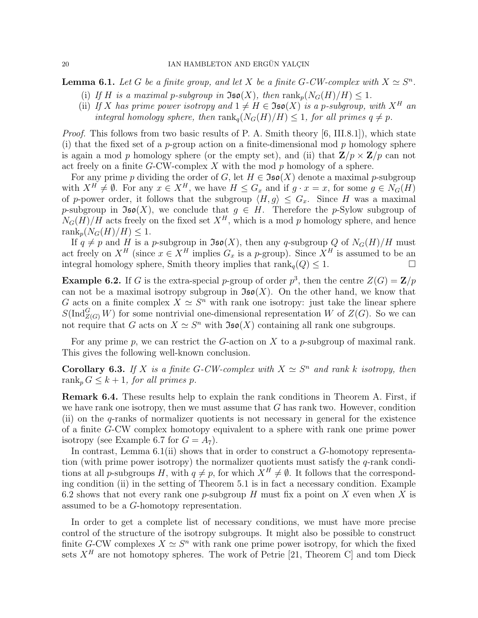**Lemma 6.1.** Let G be a finite group, and let X be a finite G-CW-complex with  $X \simeq S^n$ .

- (i) If H is a maximal p-subgroup in  $\mathfrak{Iso}(X)$ , then  $\text{rank}_p(N_G(H)/H) \leq 1$ .
- (ii) If X has prime power isotropy and  $1 \neq H \in \mathfrak{Iso}(X)$  is a p-subgroup, with  $X^H$  an integral homology sphere, then  $\text{rank}_{a}(N_G(H)/H) \leq 1$ , for all primes  $q \neq p$ .

*Proof.* This follows from two basic results of P. A. Smith theory [6, III.8.1], which state (i) that the fixed set of a p-group action on a finite-dimensional mod p homology sphere is again a mod p homology sphere (or the empty set), and (ii) that  $\mathbf{Z}/p \times \mathbf{Z}/p$  can not act freely on a finite  $G$ -CW-complex X with the mod  $p$  homology of a sphere.

For any prime p dividing the order of G, let  $H \in \mathfrak{Iso}(X)$  denote a maximal p-subgroup with  $X^H \neq \emptyset$ . For any  $x \in X^H$ , we have  $H \leq G_x$  and if  $g \cdot x = x$ , for some  $g \in N_G(H)$ of p-power order, it follows that the subgroup  $\langle H, g \rangle \leq G_x$ . Since H was a maximal p-subgroup in  $\mathfrak{Iso}(X)$ , we conclude that  $g \in H$ . Therefore the p-Sylow subgroup of  $N_G(H)/H$  acts freely on the fixed set  $X^H$ , which is a mod p homology sphere, and hence rank<sub>p</sub> $(N_G(H)/H) \leq 1$ .

If  $q \neq p$  and H is a p-subgroup in  $\mathfrak{Iso}(X)$ , then any q-subgroup Q of  $N_G(H)/H$  must act freely on  $X^H$  (since  $x \in X^H$  implies  $G_x$  is a p-group). Since  $X^H$  is assumed to be an integral homology sphere, Smith theory implies that  $\text{rank}_q(Q) \leq 1$ .

**Example 6.2.** If G is the extra-special p-group of order  $p^3$ , then the centre  $Z(G) = \mathbb{Z}/p$ can not be a maximal isotropy subgroup in  $\mathfrak{Iso}(X)$ . On the other hand, we know that G acts on a finite complex  $X \simeq S^n$  with rank one isotropy: just take the linear sphere  $S(\text{Ind}_{Z(G)}^G W)$  for some nontrivial one-dimensional representation W of  $Z(G)$ . So we can not require that G acts on  $X \simeq S^n$  with  $\mathfrak{Iso}(X)$  containing all rank one subgroups.

For any prime p, we can restrict the G-action on X to a p-subgroup of maximal rank. This gives the following well-known conclusion.

**Corollary 6.3.** If X is a finite G-CW-complex with  $X \simeq S^n$  and rank k isotropy, then rank<sub>p</sub>  $G \leq k+1$ , for all primes p.

Remark 6.4. These results help to explain the rank conditions in Theorem A. First, if we have rank one isotropy, then we must assume that  $G$  has rank two. However, condition (ii) on the q-ranks of normalizer quotients is not necessary in general for the existence of a finite G-CW complex homotopy equivalent to a sphere with rank one prime power isotropy (see Example 6.7 for  $G = A_7$ ).

In contrast, Lemma 6.1(ii) shows that in order to construct a G-homotopy representation (with prime power isotropy) the normalizer quotients must satisfy the q-rank conditions at all p-subgroups H, with  $q \neq p$ , for which  $X^H \neq \emptyset$ . It follows that the corresponding condition (ii) in the setting of Theorem 5.1 is in fact a necessary condition. Example 6.2 shows that not every rank one p-subgroup H must fix a point on X even when X is assumed to be a G-homotopy representation.

In order to get a complete list of necessary conditions, we must have more precise control of the structure of the isotropy subgroups. It might also be possible to construct finite G-CW complexes  $X \simeq S^n$  with rank one prime power isotropy, for which the fixed sets  $X^H$  are not homotopy spheres. The work of Petrie [21, Theorem C] and tom Dieck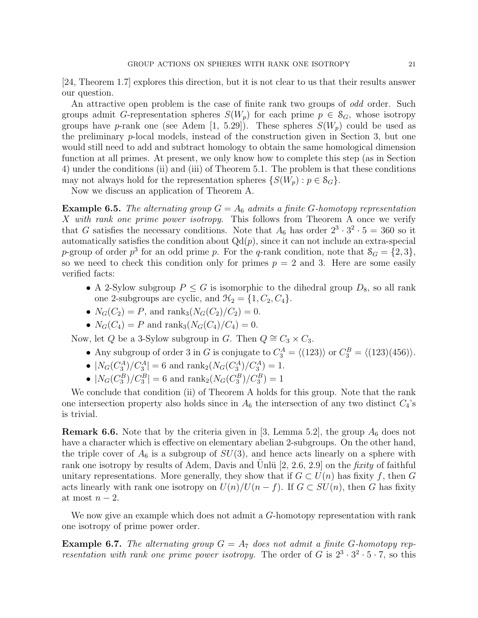[24, Theorem 1.7] explores this direction, but it is not clear to us that their results answer our question.

An attractive open problem is the case of finite rank two groups of *odd* order. Such groups admit G-representation spheres  $S(W_p)$  for each prime  $p \in S_G$ , whose isotropy groups have p-rank one (see Adem [1, 5.29]). These spheres  $S(W_p)$  could be used as the preliminary  $p$ -local models, instead of the construction given in Section 3, but one would still need to add and subtract homology to obtain the same homological dimension function at all primes. At present, we only know how to complete this step (as in Section 4) under the conditions (ii) and (iii) of Theorem 5.1. The problem is that these conditions may not always hold for the representation spheres  $\{S(W_p) : p \in S_G\}.$ 

Now we discuss an application of Theorem A.

**Example 6.5.** The alternating group  $G = A_6$  admits a finite G-homotopy representation X with rank one prime power isotropy. This follows from Theorem A once we verify that G satisfies the necessary conditions. Note that  $A_6$  has order  $2^3 \cdot 3^2 \cdot 5 = 360$  so it automatically satisfies the condition about  $Qd(p)$ , since it can not include an extra-special p-group of order  $p^3$  for an odd prime p. For the q-rank condition, note that  $S_G = \{2, 3\}$ , so we need to check this condition only for primes  $p = 2$  and 3. Here are some easily verified facts:

- A 2-Sylow subgroup  $P \leq G$  is isomorphic to the dihedral group  $D_8$ , so all rank one 2-subgroups are cyclic, and  $\mathcal{H}_2 = \{1, C_2, C_4\}.$
- $N_G(C_2) = P$ , and rank<sub>3</sub> $(N_G(C_2)/C_2) = 0$ .
- $N_G(C_4) = P$  and  $\text{rank}_3(N_G(C_4)/C_4) = 0$ .

Now, let Q be a 3-Sylow subgroup in G. Then  $Q \cong C_3 \times C_3$ .

- Any subgroup of order 3 in G is conjugate to  $C_3^A = \langle (123) \rangle$  or  $C_3^B = \langle (123)(456) \rangle$ .
- $|N_G(C_3^A)/C_3^A| = 6$  and  $\text{rank}_2(N_G(C_3^A)/C_3^A) = 1$ .
- $|N_G(C_3^B)/C_3^B| = 6$  and  $\text{rank}_2(N_G(C_3^B)/C_3^B) = 1$

We conclude that condition (ii) of Theorem A holds for this group. Note that the rank one intersection property also holds since in  $A_6$  the intersection of any two distinct  $C_4$ 's is trivial.

**Remark 6.6.** Note that by the criteria given in [3, Lemma 5.2], the group  $A_6$  does not have a character which is effective on elementary abelian 2-subgroups. On the other hand, the triple cover of  $A_6$  is a subgroup of  $SU(3)$ , and hence acts linearly on a sphere with rank one isotropy by results of Adem, Davis and Unlü  $[2, 2.6, 2.9]$  on the *fixity* of faithful unitary representations. More generally, they show that if  $G \subset U(n)$  has fixity f, then G acts linearly with rank one isotropy on  $U(n)/U(n - f)$ . If  $G \subset SU(n)$ , then G has fixity at most  $n-2$ .

We now give an example which does not admit a G-homotopy representation with rank one isotropy of prime power order.

**Example 6.7.** The alternating group  $G = A_7$  does not admit a finite G-homotopy representation with rank one prime power isotropy. The order of G is  $2^3 \cdot 3^2 \cdot 5 \cdot 7$ , so this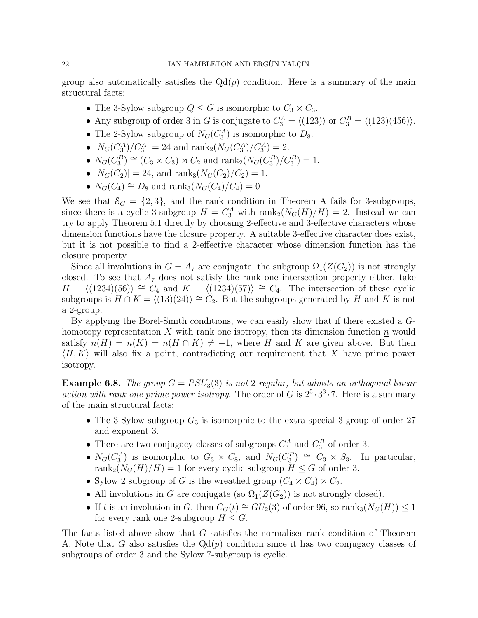group also automatically satisfies the  $Qd(p)$  condition. Here is a summary of the main structural facts:

- The 3-Sylow subgroup  $Q \leq G$  is isomorphic to  $C_3 \times C_3$ .
- Any subgroup of order 3 in G is conjugate to  $C_3^A = \langle (123) \rangle$  or  $C_3^B = \langle (123)(456) \rangle$ .
- The 2-Sylow subgroup of  $N_G(C_3^A)$  is isomorphic to  $D_8$ .
- $|N_G(C_3^A)/C_3^A| = 24$  and  $\text{rank}_2(N_G(C_3^A)/C_3^A) = 2$ .
- $N_G(C_3^B) \cong (C_3 \times C_3) \rtimes C_2$  and  $\text{rank}_2(N_G(C_3^B)/C_3^B) = 1$ .
- $|N_G(C_2)| = 24$ , and rank<sub>3</sub> $(N_G(C_2)/C_2) = 1$ .
- $N_G(C_4) \cong D_8$  and rank<sub>3</sub> $(N_G(C_4)/C_4) = 0$

We see that  $\mathcal{S}_G = \{2, 3\}$ , and the rank condition in Theorem A fails for 3-subgroups, since there is a cyclic 3-subgroup  $H = C_3^A$  with  $\text{rank}_2(N_G(H)/H) = 2$ . Instead we can try to apply Theorem 5.1 directly by choosing 2-effective and 3-effective characters whose dimension functions have the closure property. A suitable 3-effective character does exist, but it is not possible to find a 2-effective character whose dimension function has the closure property.

Since all involutions in  $G = A_7$  are conjugate, the subgroup  $\Omega_1(Z(G_2))$  is not strongly closed. To see that  $A_7$  does not satisfy the rank one intersection property either, take  $H = \langle (1234)(56) \rangle \cong C_4$  and  $K = \langle (1234)(57) \rangle \cong C_4$ . The intersection of these cyclic subgroups is  $H \cap K = \langle (13)(24) \rangle \cong C_2$ . But the subgroups generated by H and K is not a 2-group.

By applying the Borel-Smith conditions, we can easily show that if there existed a Ghomotopy representation X with rank one isotropy, then its dimension function  $\underline{n}$  would satisfy  $n(H) = n(K) = n(H \cap K) \neq -1$ , where H and K are given above. But then  $\langle H, K \rangle$  will also fix a point, contradicting our requirement that X have prime power isotropy.

**Example 6.8.** The group  $G = PSU_3(3)$  is not 2-regular, but admits an orthogonal linear action with rank one prime power isotropy. The order of G is  $2^5 \cdot 3^3 \cdot 7$ . Here is a summary of the main structural facts:

- The 3-Sylow subgroup  $G_3$  is isomorphic to the extra-special 3-group of order 27 and exponent 3.
- There are two conjugacy classes of subgroups  $C_3^A$  and  $C_3^B$  of order 3.
- $N_G(C_3^A)$  is isomorphic to  $G_3 \rtimes C_8$ , and  $N_G(C_3^B) \cong C_3 \times S_3$ . In particular, rank<sub>2</sub>( $N_G(H)/H$ ) = 1 for every cyclic subgroup  $H \leq G$  of order 3.
- Sylow 2 subgroup of G is the wreathed group  $(C_4 \times C_4) \rtimes C_2$ .
- All involutions in G are conjugate (so  $\Omega_1(Z(G_2))$  is not strongly closed).
- If t is an involution in G, then  $C_G(t) \cong GU_2(3)$  of order 96, so rank<sub>3</sub> $(N_G(H)) \leq 1$ for every rank one 2-subgroup  $H \leq G$ .

The facts listed above show that G satisfies the normaliser rank condition of Theorem A. Note that G also satisfies the  $Qd(p)$  condition since it has two conjugacy classes of subgroups of order 3 and the Sylow 7-subgroup is cyclic.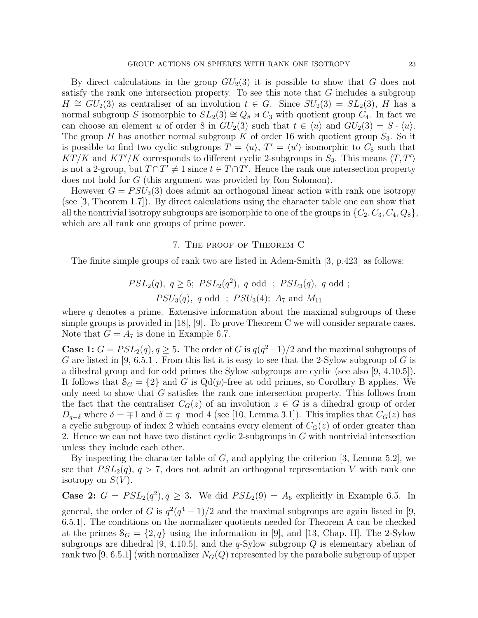By direct calculations in the group  $GU_2(3)$  it is possible to show that G does not satisfy the rank one intersection property. To see this note that G includes a subgroup  $H \cong GU_2(3)$  as centraliser of an involution  $t \in G$ . Since  $SU_2(3) = SL_2(3)$ , H has a normal subgroup S isomorphic to  $SL_2(3) \cong Q_8 \rtimes C_3$  with quotient group  $C_4$ . In fact we can choose an element u of order 8 in  $GU_2(3)$  such that  $t \in \langle u \rangle$  and  $GU_2(3) = S \cdot \langle u \rangle$ . The group H has another normal subgroup K of order 16 with quotient group  $S_3$ . So it is possible to find two cyclic subgroups  $T = \langle u \rangle$ ,  $T' = \langle u' \rangle$  isomorphic to  $C_8$  such that  $KT/K$  and  $KT'/K$  corresponds to different cyclic 2-subgroups in  $S_3$ . This means  $\langle T, T' \rangle$ is not a 2-group, but  $T \cap T' \neq 1$  since  $t \in T \cap T'$ . Hence the rank one intersection property does not hold for G (this argument was provided by Ron Solomon).

However  $G = PSU_3(3)$  does admit an orthogonal linear action with rank one isotropy (see [3, Theorem 1.7]). By direct calculations using the character table one can show that all the nontrivial isotropy subgroups are isomorphic to one of the groups in  $\{C_2, C_3, C_4, Q_8\},$ which are all rank one groups of prime power.

# 7. The proof of Theorem C

The finite simple groups of rank two are listed in Adem-Smith [3, p.423] as follows:

$$
PSL_2(q), q \ge 5; PSL_2(q^2), q \text{ odd }; PSL_3(q), q \text{ odd }; PSU_3(q), q \text{ odd }; PSU_3(4); A_7 \text{ and } M_{11}
$$

where  $q$  denotes a prime. Extensive information about the maximal subgroups of these simple groups is provided in [18], [9]. To prove Theorem C we will consider separate cases. Note that  $G = A_7$  is done in Example 6.7.

**Case 1:**  $G = PSL_2(q), q \geq 5$ . The order of G is  $q(q^2-1)/2$  and the maximal subgroups of G are listed in [9, 6.5.1]. From this list it is easy to see that the 2-Sylow subgroup of G is a dihedral group and for odd primes the Sylow subgroups are cyclic (see also [9, 4.10.5]). It follows that  $S_G = \{2\}$  and G is Qd(p)-free at odd primes, so Corollary B applies. We only need to show that G satisfies the rank one intersection property. This follows from the fact that the centraliser  $C_G(z)$  of an involution  $z \in G$  is a dihedral group of order  $D_{q-\delta}$  where  $\delta = \mp 1$  and  $\delta \equiv q \mod 4$  (see [10, Lemma 3.1]). This implies that  $C_G(z)$  has a cyclic subgroup of index 2 which contains every element of  $C_G(z)$  of order greater than 2. Hence we can not have two distinct cyclic 2-subgroups in G with nontrivial intersection unless they include each other.

By inspecting the character table of  $G$ , and applying the criterion [3, Lemma 5.2], we see that  $PSL_2(q)$ ,  $q > 7$ , does not admit an orthogonal representation V with rank one isotropy on  $S(V)$ .

**Case 2:**  $G = PSL_2(q^2), q \geq 3$ . We did  $PSL_2(9) = A_6$  explicitly in Example 6.5. In general, the order of G is  $q^2(q^4-1)/2$  and the maximal subgroups are again listed in [9, 6.5.1]. The conditions on the normalizer quotients needed for Theorem A can be checked at the primes  $S_G = \{2, q\}$  using the information in [9], and [13, Chap. II]. The 2-Sylow subgroups are dihedral [9, 4.10.5], and the  $q$ -Sylow subgroup  $Q$  is elementary abelian of rank two [9, 6.5.1] (with normalizer  $N_G(Q)$  represented by the parabolic subgroup of upper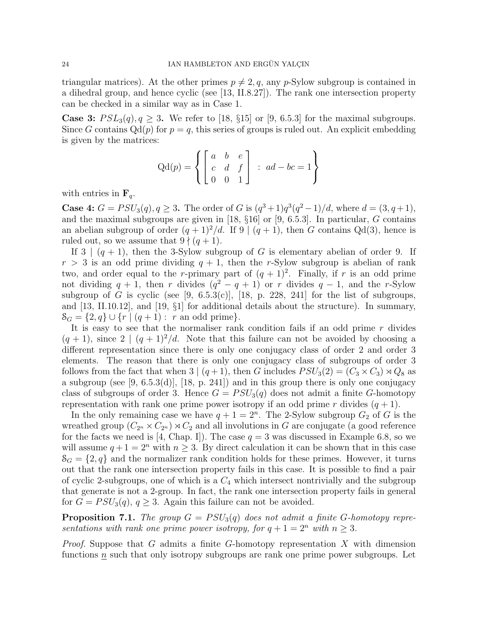triangular matrices). At the other primes  $p \neq 2, q$ , any p-Sylow subgroup is contained in a dihedral group, and hence cyclic (see [13, II.8.27]). The rank one intersection property can be checked in a similar way as in Case 1.

**Case 3:**  $PSL_3(q), q \geq 3$ . We refer to [18, §15] or [9, 6.5.3] for the maximal subgroups. Since G contains  $Qd(p)$  for  $p = q$ , this series of groups is ruled out. An explicit embedding is given by the matrices:

$$
Qd(p) = \left\{ \begin{bmatrix} a & b & e \\ c & d & f \\ 0 & 0 & 1 \end{bmatrix} : ad - bc = 1 \right\}
$$

with entries in  $\mathbf{F}_q$ .

**Case 4:**  $G = PSU_3(q), q \ge 3$ . The order of G is  $(q^3+1)q^3(q^2-1)/d$ , where  $d = (3, q+1)$ , and the maximal subgroups are given in [18,  $\S 16$ ] or [9, 6.5.3]. In particular, G contains an abelian subgroup of order  $(q + 1)^2/d$ . If  $9 \mid (q + 1)$ , then G contains Qd(3), hence is ruled out, so we assume that  $9 \nmid (q + 1)$ .

If  $3 \mid (q+1)$ , then the 3-Sylow subgroup of G is elementary abelian of order 9. If  $r > 3$  is an odd prime dividing  $q + 1$ , then the r-Sylow subgroup is abelian of rank two, and order equal to the r-primary part of  $(q + 1)^2$ . Finally, if r is an odd prime not dividing  $q + 1$ , then r divides  $(q^2 - q + 1)$  or r divides  $q - 1$ , and the r-Sylow subgroup of G is cyclic (see [9, 6.5.3(c)], [18, p. 228, 241] for the list of subgroups, and [13, II.10.12], and [19, §1] for additional details about the structure). In summary,  $S_G = \{2, q\} \cup \{r \mid (q + 1) : r \text{ an odd prime}\}.$ 

It is easy to see that the normaliser rank condition fails if an odd prime  $r$  divides  $(q + 1)$ , since  $2 \mid (q + 1)^2/d$ . Note that this failure can not be avoided by choosing a different representation since there is only one conjugacy class of order 2 and order 3 elements. The reason that there is only one conjugacy class of subgroups of order 3 follows from the fact that when  $3 | (q+1)$ , then G includes  $PSU_3(2) = (C_3 \times C_3) \rtimes Q_8$  as a subgroup (see [9, 6.5.3(d)], [18, p. 241]) and in this group there is only one conjugacy class of subgroups of order 3. Hence  $G = PSU_3(q)$  does not admit a finite G-homotopy representation with rank one prime power isotropy if an odd prime r divides  $(q + 1)$ .

In the only remaining case we have  $q + 1 = 2<sup>n</sup>$ . The 2-Sylow subgroup  $G_2$  of G is the wreathed group  $(C_{2^n} \times C_{2^n}) \rtimes C_2$  and all involutions in G are conjugate (a good reference for the facts we need is [4, Chap. I]). The case  $q = 3$  was discussed in Example 6.8, so we will assume  $q + 1 = 2^n$  with  $n \geq 3$ . By direct calculation it can be shown that in this case  $S_G = \{2, q\}$  and the normalizer rank condition holds for these primes. However, it turns out that the rank one intersection property fails in this case. It is possible to find a pair of cyclic 2-subgroups, one of which is a  $C_4$  which intersect nontrivially and the subgroup that generate is not a 2-group. In fact, the rank one intersection property fails in general for  $G = PSU_3(q)$ ,  $q \geq 3$ . Again this failure can not be avoided.

**Proposition 7.1.** The group  $G = PSU_3(q)$  does not admit a finite G-homotopy representations with rank one prime power isotropy, for  $q + 1 = 2^n$  with  $n \geq 3$ .

*Proof.* Suppose that G admits a finite G-homotopy representation X with dimension functions  $n$  such that only isotropy subgroups are rank one prime power subgroups. Let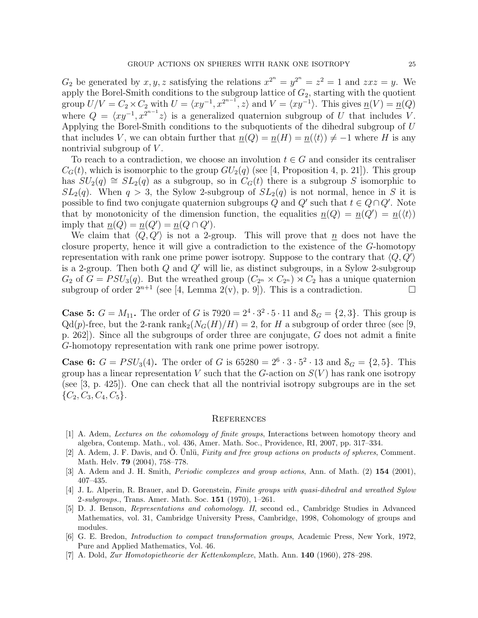$G_2$  be generated by  $x, y, z$  satisfying the relations  $x^{2^n} = y^{2^n} = z^2 = 1$  and  $z x z = y$ . We apply the Borel-Smith conditions to the subgroup lattice of  $G_2$ , starting with the quotient group  $U/V = C_2 \times C_2$  with  $U = \langle xy^{-1}, x^{2^{n-1}}, z \rangle$  and  $V = \langle xy^{-1} \rangle$ . This gives  $\underline{n}(V) = \underline{n}(Q)$ where  $Q = \langle xy^{-1}, x^{2^{n-1}}z \rangle$  is a generalized quaternion subgroup of U that includes V. Applying the Borel-Smith conditions to the subquotients of the dihedral subgroup of U that includes V, we can obtain further that  $n(Q) = n(H) = n(\langle t \rangle) \neq -1$  where H is any nontrivial subgroup of  $V$ .

To reach to a contradiction, we choose an involution  $t \in G$  and consider its centraliser  $C_G(t)$ , which is isomorphic to the group  $GU_2(q)$  (see [4, Proposition 4, p. 21]). This group has  $SU_2(q) \cong SL_2(q)$  as a subgroup, so in  $C_G(t)$  there is a subgroup S isomorphic to  $SL_2(q)$ . When  $q > 3$ , the Sylow 2-subgroup of  $SL_2(q)$  is not normal, hence in S it is possible to find two conjugate quaternion subgroups Q and Q' such that  $t \in Q \cap Q'$ . Note that by monotonicity of the dimension function, the equalities  $n(Q) = n(Q') = n(\langle t \rangle)$ imply that  $\underline{n}(Q) = \underline{n}(Q') = \underline{n}(Q \cap Q')$ .

We claim that  $\langle Q, Q' \rangle$  is not a 2-group. This will prove that  $\underline{n}$  does not have the closure property, hence it will give a contradiction to the existence of the G-homotopy representation with rank one prime power isotropy. Suppose to the contrary that  $\langle Q, Q' \rangle$ is a 2-group. Then both  $Q$  and  $Q'$  will lie, as distinct subgroups, in a Sylow 2-subgroup  $G_2$  of  $G = PSU_3(q)$ . But the wreathed group  $(C_{2^n} \times C_{2^n}) \rtimes C_2$  has a unique quaternion subgroup of order  $2^{n+1}$  (see [4, Lemma 2(v), p. 9]). This is a contradiction.

**Case 5:**  $G = M_{11}$ . The order of G is  $7920 = 2^4 \cdot 3^2 \cdot 5 \cdot 11$  and  $\mathcal{S}_G = \{2, 3\}$ . This group is  $Qd(p)$ -free, but the 2-rank rank<sub>2</sub>( $N_G(H)/H$ ) = 2, for H a subgroup of order three (see [9, p. 262]). Since all the subgroups of order three are conjugate, G does not admit a finite G-homotopy representation with rank one prime power isotropy.

**Case 6:**  $G = PSU_3(4)$ . The order of G is  $65280 = 2^6 \cdot 3 \cdot 5^2 \cdot 13$  and  $S_G = \{2, 5\}$ . This group has a linear representation V such that the G-action on  $S(V)$  has rank one isotropy (see [3, p. 425]). One can check that all the nontrivial isotropy subgroups are in the set  $\{C_2, C_3, C_4, C_5\}.$ 

#### **REFERENCES**

- [1] A. Adem, Lectures on the cohomology of finite groups, Interactions between homotopy theory and algebra, Contemp. Math., vol. 436, Amer. Math. Soc., Providence, RI, 2007, pp. 317–334.
- [2] A. Adem, J. F. Davis, and O. Unlü, Fixity and free group actions on products of spheres, Comment. Math. Helv. 79 (2004), 758–778.
- [3] A. Adem and J. H. Smith, *Periodic complexes and group actions*, Ann. of Math. (2) 154 (2001), 407–435.
- [4] J. L. Alperin, R. Brauer, and D. Gorenstein, Finite groups with quasi-dihedral and wreathed Sylow 2-subgroups., Trans. Amer. Math. Soc. 151 (1970), 1–261.
- [5] D. J. Benson, Representations and cohomology. II, second ed., Cambridge Studies in Advanced Mathematics, vol. 31, Cambridge University Press, Cambridge, 1998, Cohomology of groups and modules.
- [6] G. E. Bredon, Introduction to compact transformation groups, Academic Press, New York, 1972, Pure and Applied Mathematics, Vol. 46.
- [7] A. Dold, Zur Homotopietheorie der Kettenkomplexe, Math. Ann. 140 (1960), 278–298.